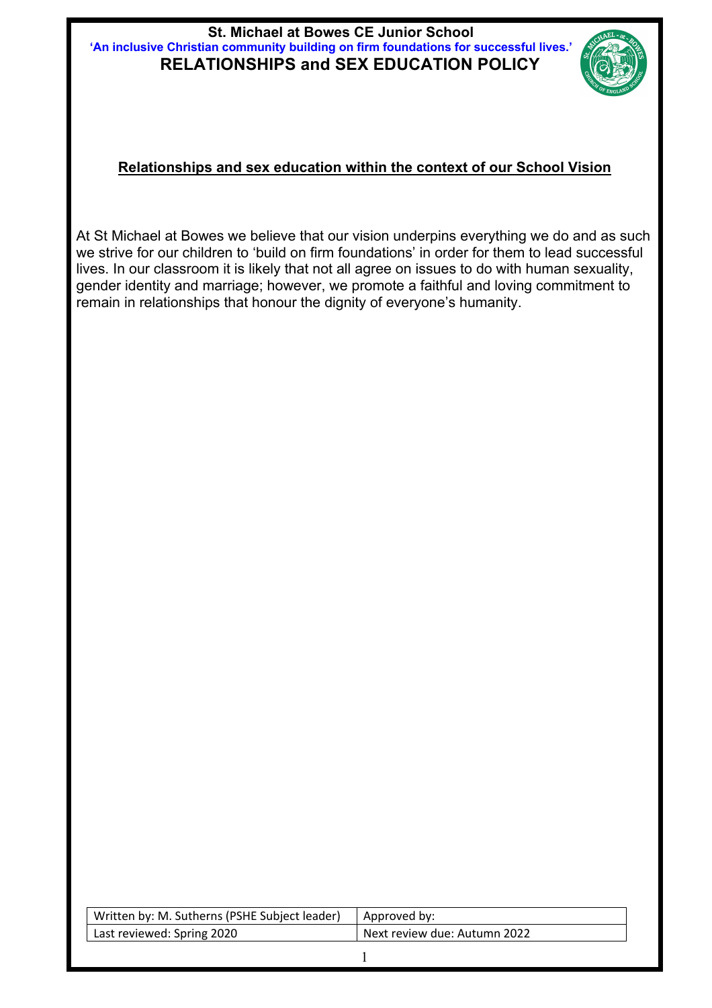#### **St. Michael at Bowes CE Junior School 'An inclusive Christian community building on firm foundations for successful lives.' RELATIONSHIPS and SEX EDUCATION POLICY**



#### **Relationships and sex education within the context of our School Vision**

At St Michael at Bowes we believe that our vision underpins everything we do and as such we strive for our children to 'build on firm foundations' in order for them to lead successful lives. In our classroom it is likely that not all agree on issues to do with human sexuality, gender identity and marriage; however, we promote a faithful and loving commitment to remain in relationships that honour the dignity of everyone's humanity.

| Written by: M. Sutherns (PSHE Subject leader) | Approved by:                 |
|-----------------------------------------------|------------------------------|
| Last reviewed: Spring 2020                    | Next review due: Autumn 2022 |
|                                               |                              |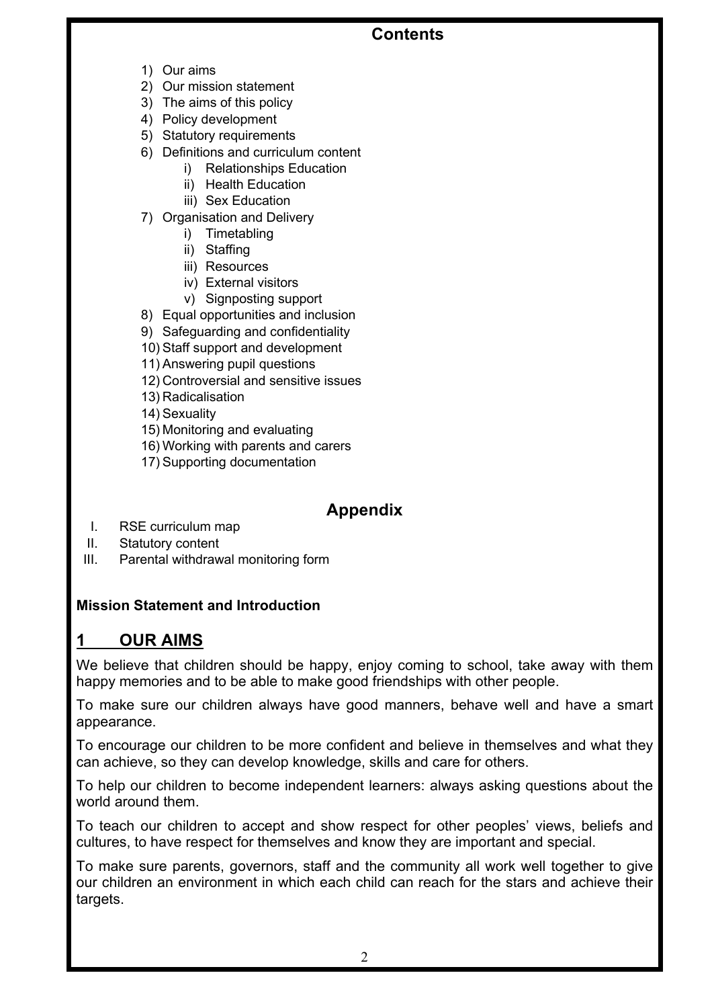### **Contents**

- 1) Our aims
- 2) Our mission statement
- 3) The aims of this policy
- 4) Policy development
- 5) Statutory requirements
- 6) Definitions and curriculum content
	- i) Relationships Education
	- ii) Health Education
	- iii) Sex Education
- 7) Organisation and Delivery
	- i) Timetabling
	- ii) Staffing
	- iii) Resources
	- iv) External visitors
	- v) Signposting support
- 8) Equal opportunities and inclusion
- 9) Safeguarding and confidentiality
- 10) Staff support and development
- 11) Answering pupil questions
- 12) Controversial and sensitive issues
- 13) Radicalisation
- 14) Sexuality
- 15) Monitoring and evaluating
- 16) Working with parents and carers
- 17) Supporting documentation

## **Appendix**

- I. RSE curriculum map
- II. Statutory content
- III. Parental withdrawal monitoring form

### **Mission Statement and Introduction**

## **1 OUR AIMS**

We believe that children should be happy, enjoy coming to school, take away with them happy memories and to be able to make good friendships with other people.

To make sure our children always have good manners, behave well and have a smart appearance.

To encourage our children to be more confident and believe in themselves and what they can achieve, so they can develop knowledge, skills and care for others.

To help our children to become independent learners: always asking questions about the world around them.

To teach our children to accept and show respect for other peoples' views, beliefs and cultures, to have respect for themselves and know they are important and special.

To make sure parents, governors, staff and the community all work well together to give our children an environment in which each child can reach for the stars and achieve their targets.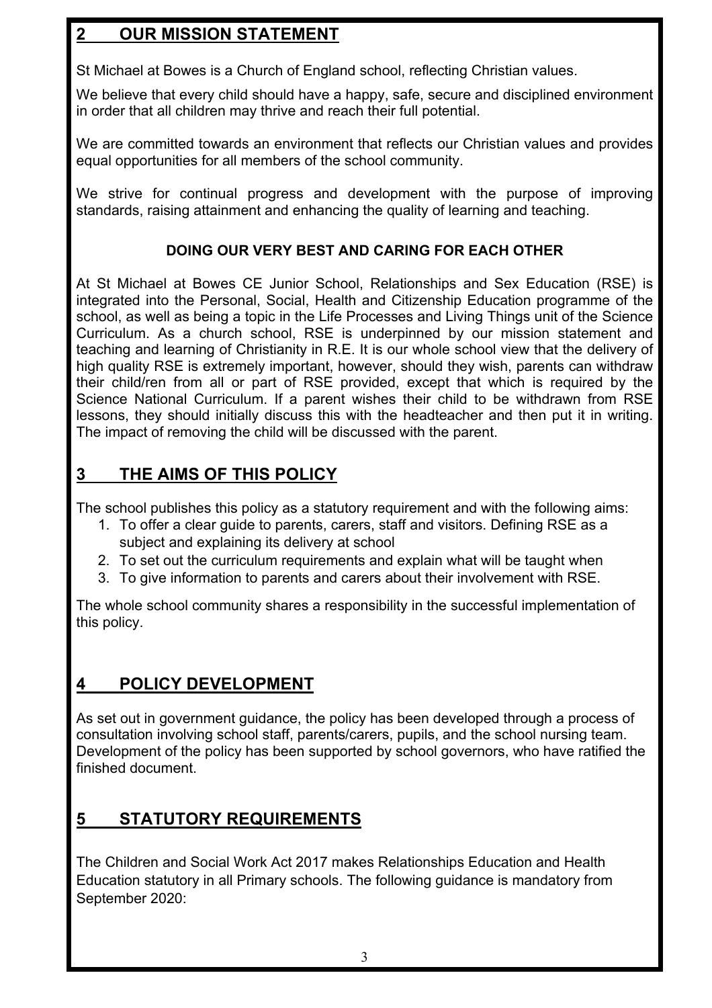## **2 OUR MISSION STATEMENT**

St Michael at Bowes is a Church of England school, reflecting Christian values.

We believe that every child should have a happy, safe, secure and disciplined environment in order that all children may thrive and reach their full potential.

We are committed towards an environment that reflects our Christian values and provides equal opportunities for all members of the school community.

We strive for continual progress and development with the purpose of improving standards, raising attainment and enhancing the quality of learning and teaching.

### **DOING OUR VERY BEST AND CARING FOR EACH OTHER**

At St Michael at Bowes CE Junior School, Relationships and Sex Education (RSE) is integrated into the Personal, Social, Health and Citizenship Education programme of the school, as well as being a topic in the Life Processes and Living Things unit of the Science Curriculum. As a church school, RSE is underpinned by our mission statement and teaching and learning of Christianity in R.E. It is our whole school view that the delivery of high quality RSE is extremely important, however, should they wish, parents can withdraw their child/ren from all or part of RSE provided, except that which is required by the Science National Curriculum. If a parent wishes their child to be withdrawn from RSE lessons, they should initially discuss this with the headteacher and then put it in writing. The impact of removing the child will be discussed with the parent.

### **3 THE AIMS OF THIS POLICY**

The school publishes this policy as a statutory requirement and with the following aims:

- 1. To offer a clear guide to parents, carers, staff and visitors. Defining RSE as a subject and explaining its delivery at school
- 2. To set out the curriculum requirements and explain what will be taught when
- 3. To give information to parents and carers about their involvement with RSE.

The whole school community shares a responsibility in the successful implementation of this policy.

## **4 POLICY DEVELOPMENT**

As set out in government guidance, the policy has been developed through a process of consultation involving school staff, parents/carers, pupils, and the school nursing team. Development of the policy has been supported by school governors, who have ratified the finished document.

## **5 STATUTORY REQUIREMENTS**

The Children and Social Work Act 2017 makes Relationships Education and Health Education statutory in all Primary schools. The following guidance is mandatory from September 2020: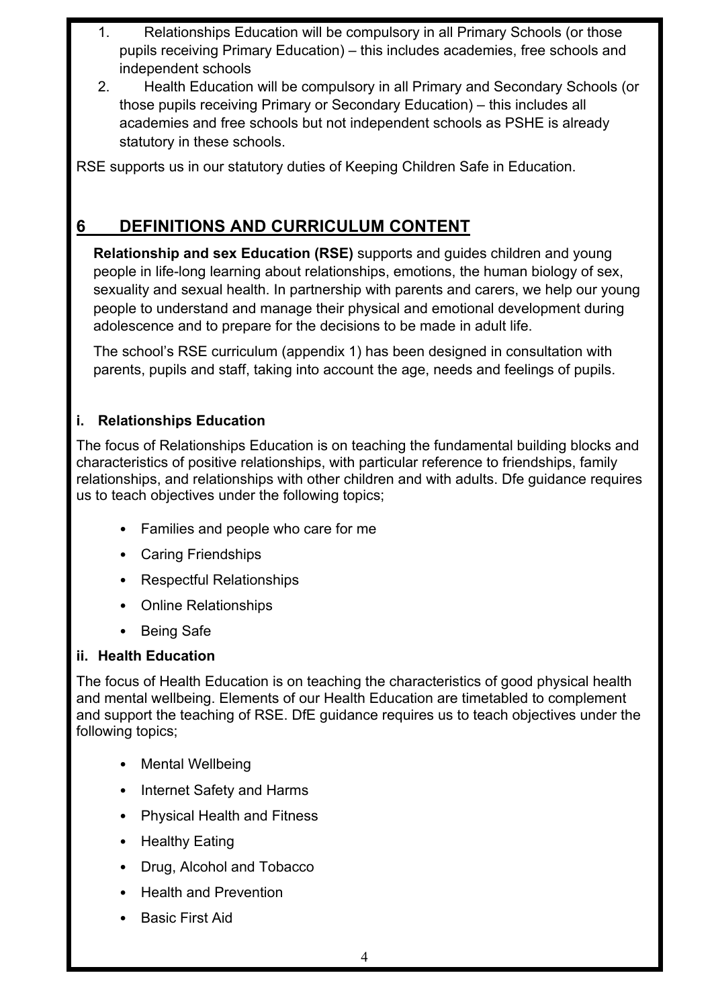- 1. Relationships Education will be compulsory in all Primary Schools (or those pupils receiving Primary Education) – this includes academies, free schools and independent schools
- 2. Health Education will be compulsory in all Primary and Secondary Schools (or those pupils receiving Primary or Secondary Education) – this includes all academies and free schools but not independent schools as PSHE is already statutory in these schools.

RSE supports us in our statutory duties of Keeping Children Safe in Education.

## **6 DEFINITIONS AND CURRICULUM CONTENT**

**Relationship and sex Education (RSE)** supports and guides children and young people in life-long learning about relationships, emotions, the human biology of sex, sexuality and sexual health. In partnership with parents and carers, we help our young people to understand and manage their physical and emotional development during adolescence and to prepare for the decisions to be made in adult life.

The school's RSE curriculum (appendix 1) has been designed in consultation with parents, pupils and staff, taking into account the age, needs and feelings of pupils.

### **i. Relationships Education**

The focus of Relationships Education is on teaching the fundamental building blocks and characteristics of positive relationships, with particular reference to friendships, family relationships, and relationships with other children and with adults. Dfe guidance requires us to teach objectives under the following topics;

- Families and people who care for me
- Caring Friendships
- Respectful Relationships
- Online Relationships
- Being Safe

#### **ii. Health Education**

The focus of Health Education is on teaching the characteristics of good physical health and mental wellbeing. Elements of our Health Education are timetabled to complement and support the teaching of RSE. DfE guidance requires us to teach objectives under the following topics;

- Mental Wellbeing
- Internet Safety and Harms
- Physical Health and Fitness
- Healthy Eating
- Drug, Alcohol and Tobacco
- Health and Prevention
- Basic First Aid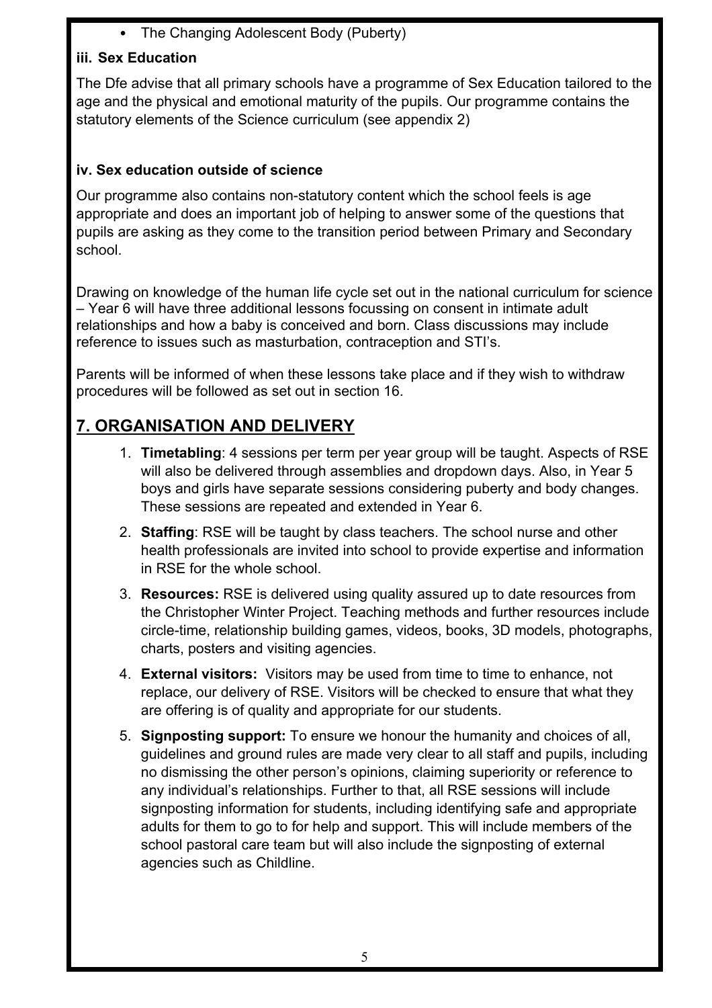• The Changing Adolescent Body (Puberty)

### **iii. Sex Education**

The Dfe advise that all primary schools have a programme of Sex Education tailored to the age and the physical and emotional maturity of the pupils. Our programme contains the statutory elements of the Science curriculum (see appendix 2)

#### **iv. Sex education outside of science**

Our programme also contains non-statutory content which the school feels is age appropriate and does an important job of helping to answer some of the questions that pupils are asking as they come to the transition period between Primary and Secondary school.

Drawing on knowledge of the human life cycle set out in the national curriculum for science – Year 6 will have three additional lessons focussing on consent in intimate adult relationships and how a baby is conceived and born. Class discussions may include reference to issues such as masturbation, contraception and STI's.

Parents will be informed of when these lessons take place and if they wish to withdraw procedures will be followed as set out in section 16.

# **7. ORGANISATION AND DELIVERY**

- 1. **Timetabling**: 4 sessions per term per year group will be taught. Aspects of RSE will also be delivered through assemblies and dropdown days. Also, in Year 5 boys and girls have separate sessions considering puberty and body changes. These sessions are repeated and extended in Year 6.
- 2. **Staffing**: RSE will be taught by class teachers. The school nurse and other health professionals are invited into school to provide expertise and information in RSE for the whole school.
- 3. **Resources:** RSE is delivered using quality assured up to date resources from the Christopher Winter Project. Teaching methods and further resources include circle-time, relationship building games, videos, books, 3D models, photographs, charts, posters and visiting agencies.
- 4. **External visitors:** Visitors may be used from time to time to enhance, not replace, our delivery of RSE. Visitors will be checked to ensure that what they are offering is of quality and appropriate for our students.
- 5. **Signposting support:** To ensure we honour the humanity and choices of all, guidelines and ground rules are made very clear to all staff and pupils, including no dismissing the other person's opinions, claiming superiority or reference to any individual's relationships. Further to that, all RSE sessions will include signposting information for students, including identifying safe and appropriate adults for them to go to for help and support. This will include members of the school pastoral care team but will also include the signposting of external agencies such as Childline.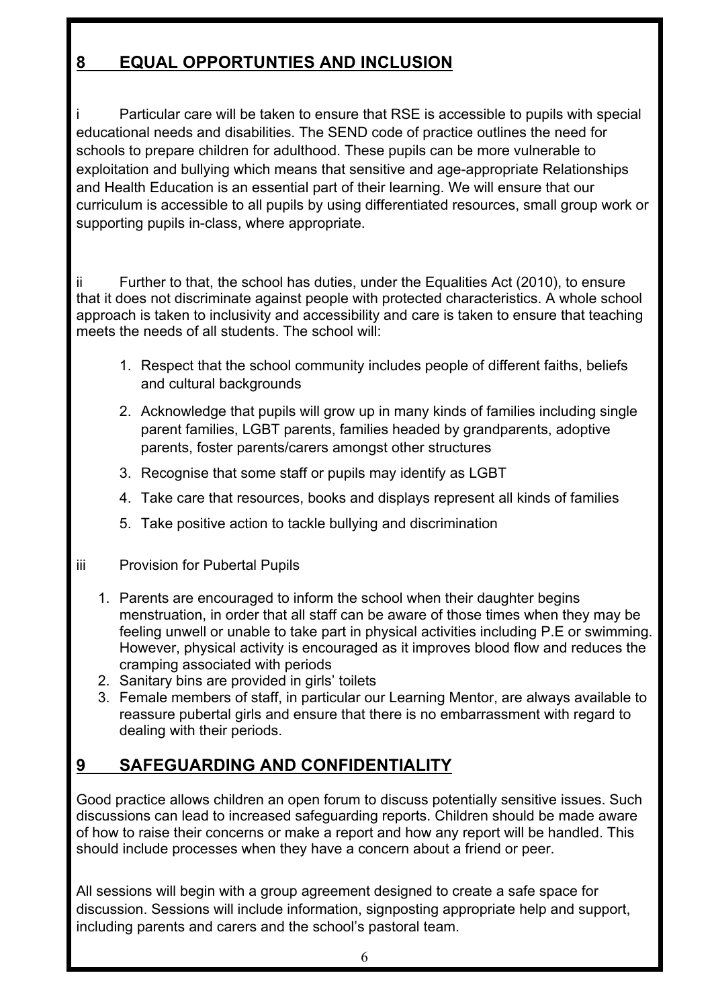## **8 EQUAL OPPORTUNTIES AND INCLUSION**

Particular care will be taken to ensure that RSE is accessible to pupils with special educational needs and disabilities. The SEND code of practice outlines the need for schools to prepare children for adulthood. These pupils can be more vulnerable to exploitation and bullying which means that sensitive and age-appropriate Relationships and Health Education is an essential part of their learning. We will ensure that our curriculum is accessible to all pupils by using differentiated resources, small group work or supporting pupils in-class, where appropriate.

ii Further to that, the school has duties, under the Equalities Act (2010), to ensure that it does not discriminate against people with protected characteristics. A whole school approach is taken to inclusivity and accessibility and care is taken to ensure that teaching meets the needs of all students. The school will:

- 1. Respect that the school community includes people of different faiths, beliefs and cultural backgrounds
- 2. Acknowledge that pupils will grow up in many kinds of families including single parent families, LGBT parents, families headed by grandparents, adoptive parents, foster parents/carers amongst other structures
- 3. Recognise that some staff or pupils may identify as LGBT
- 4. Take care that resources, books and displays represent all kinds of families
- 5. Take positive action to tackle bullying and discrimination
- iii Provision for Pubertal Pupils
	- 1. Parents are encouraged to inform the school when their daughter begins menstruation, in order that all staff can be aware of those times when they may be feeling unwell or unable to take part in physical activities including P.E or swimming. However, physical activity is encouraged as it improves blood flow and reduces the cramping associated with periods
	- 2. Sanitary bins are provided in girls' toilets
	- 3. Female members of staff, in particular our Learning Mentor, are always available to reassure pubertal girls and ensure that there is no embarrassment with regard to dealing with their periods.

## **9 SAFEGUARDING AND CONFIDENTIALITY**

Good practice allows children an open forum to discuss potentially sensitive issues. Such discussions can lead to increased safeguarding reports. Children should be made aware of how to raise their concerns or make a report and how any report will be handled. This should include processes when they have a concern about a friend or peer.

All sessions will begin with a group agreement designed to create a safe space for discussion. Sessions will include information, signposting appropriate help and support, including parents and carers and the school's pastoral team.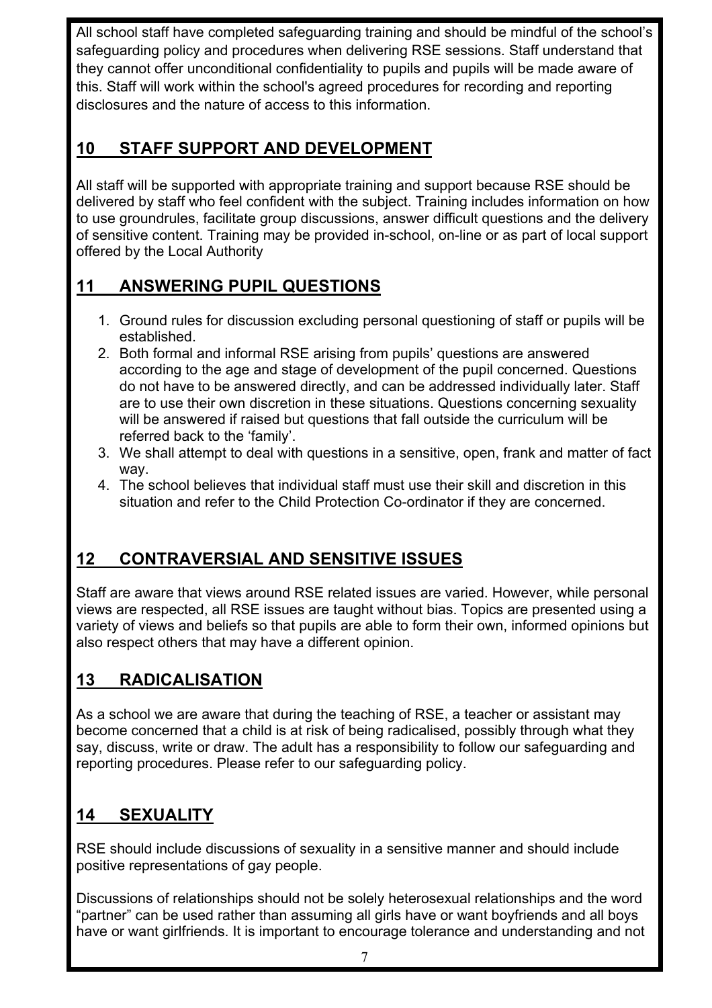All school staff have completed safeguarding training and should be mindful of the school's safeguarding policy and procedures when delivering RSE sessions. Staff understand that they cannot offer unconditional confidentiality to pupils and pupils will be made aware of this. Staff will work within the school's agreed procedures for recording and reporting disclosures and the nature of access to this information.

## **10 STAFF SUPPORT AND DEVELOPMENT**

All staff will be supported with appropriate training and support because RSE should be delivered by staff who feel confident with the subject. Training includes information on how to use groundrules, facilitate group discussions, answer difficult questions and the delivery of sensitive content. Training may be provided in-school, on-line or as part of local support offered by the Local Authority

## **11 ANSWERING PUPIL QUESTIONS**

- 1. Ground rules for discussion excluding personal questioning of staff or pupils will be established.
- 2. Both formal and informal RSE arising from pupils' questions are answered according to the age and stage of development of the pupil concerned. Questions do not have to be answered directly, and can be addressed individually later. Staff are to use their own discretion in these situations. Questions concerning sexuality will be answered if raised but questions that fall outside the curriculum will be referred back to the 'family'.
- 3. We shall attempt to deal with questions in a sensitive, open, frank and matter of fact way.
- 4. The school believes that individual staff must use their skill and discretion in this situation and refer to the Child Protection Co-ordinator if they are concerned.

# **12 CONTRAVERSIAL AND SENSITIVE ISSUES**

Staff are aware that views around RSE related issues are varied. However, while personal views are respected, all RSE issues are taught without bias. Topics are presented using a variety of views and beliefs so that pupils are able to form their own, informed opinions but also respect others that may have a different opinion.

## **13 RADICALISATION**

As a school we are aware that during the teaching of RSE, a teacher or assistant may become concerned that a child is at risk of being radicalised, possibly through what they say, discuss, write or draw. The adult has a responsibility to follow our safeguarding and reporting procedures. Please refer to our safeguarding policy.

## **14 SEXUALITY**

RSE should include discussions of sexuality in a sensitive manner and should include positive representations of gay people.

Discussions of relationships should not be solely heterosexual relationships and the word "partner" can be used rather than assuming all girls have or want boyfriends and all boys have or want girlfriends. It is important to encourage tolerance and understanding and not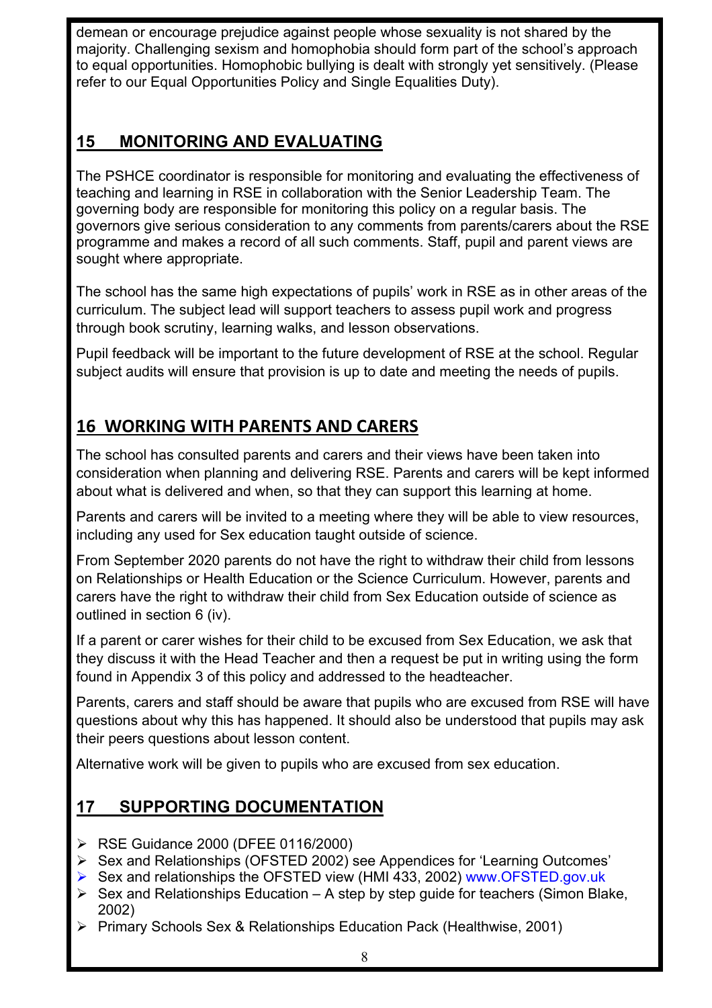demean or encourage prejudice against people whose sexuality is not shared by the majority. Challenging sexism and homophobia should form part of the school's approach to equal opportunities. Homophobic bullying is dealt with strongly yet sensitively. (Please refer to our Equal Opportunities Policy and Single Equalities Duty).

## **15 MONITORING AND EVALUATING**

The PSHCE coordinator is responsible for monitoring and evaluating the effectiveness of teaching and learning in RSE in collaboration with the Senior Leadership Team. The governing body are responsible for monitoring this policy on a regular basis. The governors give serious consideration to any comments from parents/carers about the RSE programme and makes a record of all such comments. Staff, pupil and parent views are sought where appropriate.

The school has the same high expectations of pupils' work in RSE as in other areas of the curriculum. The subject lead will support teachers to assess pupil work and progress through book scrutiny, learning walks, and lesson observations.

Pupil feedback will be important to the future development of RSE at the school. Regular subject audits will ensure that provision is up to date and meeting the needs of pupils.

# **16 WORKING WITH PARENTS AND CARERS**

The school has consulted parents and carers and their views have been taken into consideration when planning and delivering RSE. Parents and carers will be kept informed about what is delivered and when, so that they can support this learning at home.

Parents and carers will be invited to a meeting where they will be able to view resources, including any used for Sex education taught outside of science.

From September 2020 parents do not have the right to withdraw their child from lessons on Relationships or Health Education or the Science Curriculum. However, parents and carers have the right to withdraw their child from Sex Education outside of science as outlined in section 6 (iv).

If a parent or carer wishes for their child to be excused from Sex Education, we ask that they discuss it with the Head Teacher and then a request be put in writing using the form found in Appendix 3 of this policy and addressed to the headteacher.

Parents, carers and staff should be aware that pupils who are excused from RSE will have questions about why this has happened. It should also be understood that pupils may ask their peers questions about lesson content.

Alternative work will be given to pupils who are excused from sex education.

## **17 SUPPORTING DOCUMENTATION**

- Ø RSE Guidance 2000 (DFEE 0116/2000)
- Ø Sex and Relationships (OFSTED 2002) see Appendices for 'Learning Outcomes'
- Ø Sex and relationships the OFSTED view (HMI 433, 2002) www.OFSTED.gov.uk
- $\triangleright$  Sex and Relationships Education A step by step guide for teachers (Simon Blake, 2002)
- Ø Primary Schools Sex & Relationships Education Pack (Healthwise, 2001)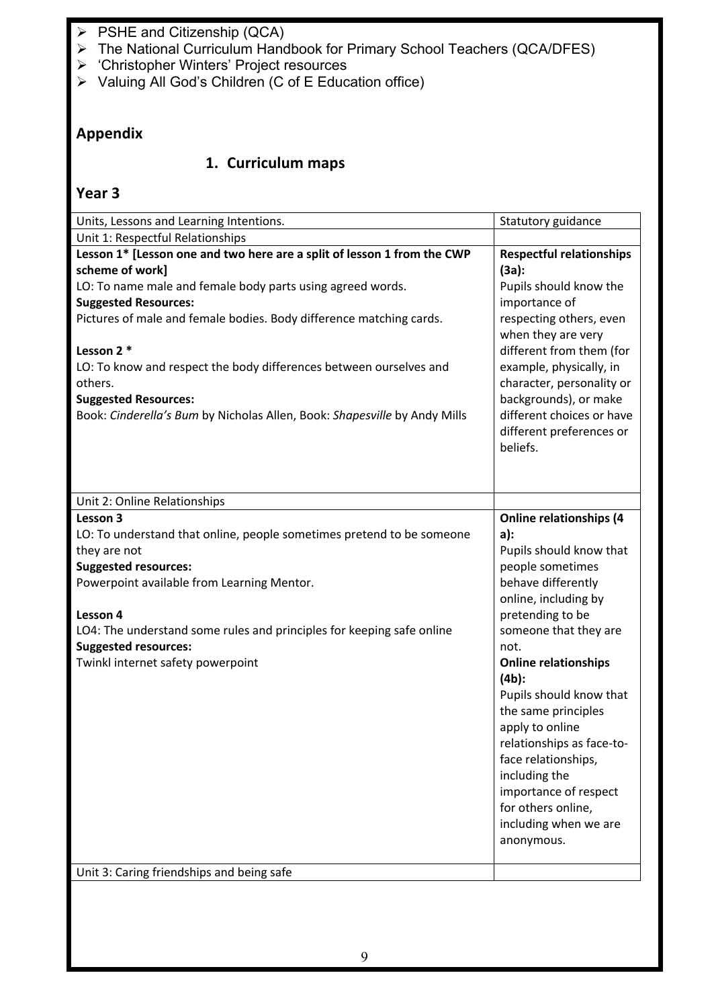- $\triangleright$  PSHE and Citizenship (QCA)
- Ø The National Curriculum Handbook for Primary School Teachers (QCA/DFES)
- Ø 'Christopher Winters' Project resources
- Ø Valuing All God's Children (C of E Education office)

### **Appendix**

#### **1. Curriculum maps**

| Units, Lessons and Learning Intentions.                                                                                                                                                 | Statutory guidance                                                                  |
|-----------------------------------------------------------------------------------------------------------------------------------------------------------------------------------------|-------------------------------------------------------------------------------------|
| Unit 1: Respectful Relationships                                                                                                                                                        |                                                                                     |
| Lesson 1* [Lesson one and two here are a split of lesson 1 from the CWP<br>scheme of work]<br>LO: To name male and female body parts using agreed words.<br><b>Suggested Resources:</b> | <b>Respectful relationships</b><br>(3a):<br>Pupils should know the<br>importance of |
| Pictures of male and female bodies. Body difference matching cards.<br>Lesson 2 *                                                                                                       | respecting others, even<br>when they are very<br>different from them (for           |
| LO: To know and respect the body differences between ourselves and<br>others.<br><b>Suggested Resources:</b>                                                                            | example, physically, in<br>character, personality or<br>backgrounds), or make       |
| Book: Cinderella's Bum by Nicholas Allen, Book: Shapesville by Andy Mills                                                                                                               | different choices or have<br>different preferences or<br>beliefs.                   |
| Unit 2: Online Relationships                                                                                                                                                            |                                                                                     |
| Lesson 3                                                                                                                                                                                | <b>Online relationships (4</b>                                                      |
| LO: To understand that online, people sometimes pretend to be someone                                                                                                                   | a):                                                                                 |
| they are not                                                                                                                                                                            | Pupils should know that                                                             |
| <b>Suggested resources:</b>                                                                                                                                                             | people sometimes                                                                    |
| Powerpoint available from Learning Mentor.                                                                                                                                              | behave differently                                                                  |
|                                                                                                                                                                                         | online, including by                                                                |
| Lesson 4                                                                                                                                                                                | pretending to be                                                                    |
| LO4: The understand some rules and principles for keeping safe online                                                                                                                   | someone that they are                                                               |
| <b>Suggested resources:</b>                                                                                                                                                             | not.                                                                                |
| Twinkl internet safety powerpoint                                                                                                                                                       | <b>Online relationships</b><br>$(4b)$ :                                             |
|                                                                                                                                                                                         | Pupils should know that<br>the same principles                                      |
|                                                                                                                                                                                         | apply to online<br>relationships as face-to-                                        |
|                                                                                                                                                                                         | face relationships,<br>including the                                                |
|                                                                                                                                                                                         | importance of respect<br>for others online,                                         |
|                                                                                                                                                                                         | including when we are                                                               |
|                                                                                                                                                                                         | anonymous.                                                                          |
| Unit 3: Caring friendships and being safe                                                                                                                                               |                                                                                     |
|                                                                                                                                                                                         |                                                                                     |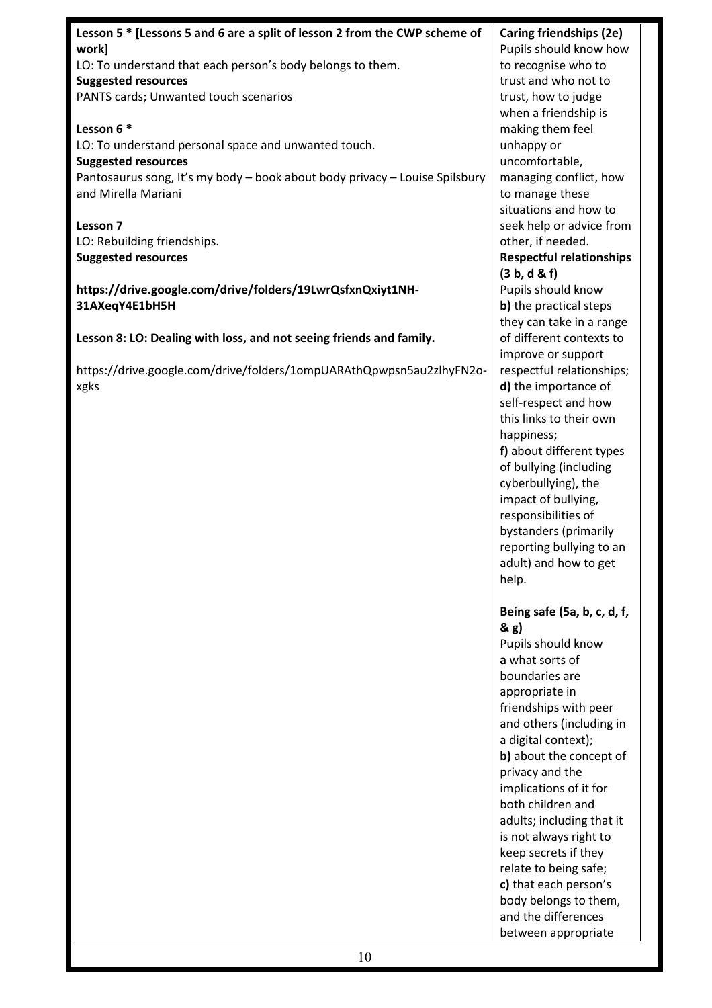| Lesson 5 * [Lessons 5 and 6 are a split of lesson 2 from the CWP scheme of  | Caring friendships (2e)         |
|-----------------------------------------------------------------------------|---------------------------------|
| work]                                                                       | Pupils should know how          |
| LO: To understand that each person's body belongs to them.                  | to recognise who to             |
| <b>Suggested resources</b>                                                  | trust and who not to            |
| PANTS cards; Unwanted touch scenarios                                       | trust, how to judge             |
|                                                                             | when a friendship is            |
| Lesson 6 *                                                                  | making them feel                |
| LO: To understand personal space and unwanted touch.                        | unhappy or                      |
| <b>Suggested resources</b>                                                  | uncomfortable,                  |
| Pantosaurus song, It's my body - book about body privacy - Louise Spilsbury | managing conflict, how          |
| and Mirella Mariani                                                         | to manage these                 |
|                                                                             | situations and how to           |
|                                                                             |                                 |
| Lesson 7                                                                    | seek help or advice from        |
| LO: Rebuilding friendships.                                                 | other, if needed.               |
| <b>Suggested resources</b>                                                  | <b>Respectful relationships</b> |
|                                                                             | (3 b, d & f)                    |
| https://drive.google.com/drive/folders/19LwrQsfxnQxiyt1NH-                  | Pupils should know              |
| 31AXeqY4E1bH5H                                                              | b) the practical steps          |
|                                                                             | they can take in a range        |
| Lesson 8: LO: Dealing with loss, and not seeing friends and family.         | of different contexts to        |
|                                                                             | improve or support              |
| https://drive.google.com/drive/folders/1ompUARAthQpwpsn5au2zlhyFN2o-        | respectful relationships;       |
| xgks                                                                        | d) the importance of            |
|                                                                             | self-respect and how            |
|                                                                             | this links to their own         |
|                                                                             | happiness;                      |
|                                                                             | f) about different types        |
|                                                                             | of bullying (including          |
|                                                                             | cyberbullying), the             |
|                                                                             | impact of bullying,             |
|                                                                             | responsibilities of             |
|                                                                             | bystanders (primarily           |
|                                                                             | reporting bullying to an        |
|                                                                             | adult) and how to get           |
|                                                                             | help.                           |
|                                                                             |                                 |
|                                                                             | Being safe (5a, b, c, d, f,     |
|                                                                             | & g)                            |
|                                                                             | Pupils should know              |
|                                                                             | a what sorts of                 |
|                                                                             | boundaries are                  |
|                                                                             | appropriate in                  |
|                                                                             | friendships with peer           |
|                                                                             | and others (including in        |
|                                                                             | a digital context);             |
|                                                                             | b) about the concept of         |
|                                                                             | privacy and the                 |
|                                                                             | implications of it for          |
|                                                                             | both children and               |
|                                                                             | adults; including that it       |
|                                                                             | is not always right to          |
|                                                                             | keep secrets if they            |
|                                                                             | relate to being safe;           |
|                                                                             | c) that each person's           |
|                                                                             | body belongs to them,           |
|                                                                             | and the differences             |
|                                                                             | between appropriate             |
|                                                                             |                                 |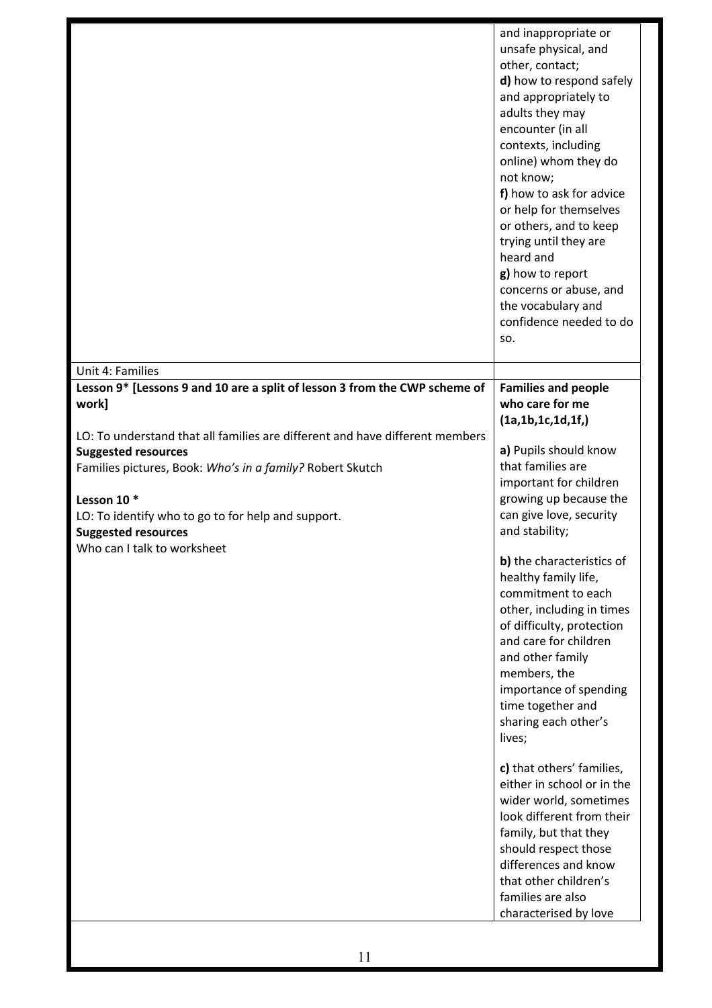|                                                                                                                                                                                                                                                                                                                                                                                                    | and inappropriate or<br>unsafe physical, and<br>other, contact;<br>d) how to respond safely<br>and appropriately to<br>adults they may<br>encounter (in all<br>contexts, including<br>online) whom they do<br>not know;<br>f) how to ask for advice<br>or help for themselves<br>or others, and to keep<br>trying until they are<br>heard and<br>g) how to report<br>concerns or abuse, and<br>the vocabulary and<br>confidence needed to do<br>SO.                                                                                    |
|----------------------------------------------------------------------------------------------------------------------------------------------------------------------------------------------------------------------------------------------------------------------------------------------------------------------------------------------------------------------------------------------------|----------------------------------------------------------------------------------------------------------------------------------------------------------------------------------------------------------------------------------------------------------------------------------------------------------------------------------------------------------------------------------------------------------------------------------------------------------------------------------------------------------------------------------------|
| Unit 4: Families                                                                                                                                                                                                                                                                                                                                                                                   |                                                                                                                                                                                                                                                                                                                                                                                                                                                                                                                                        |
| Lesson 9* [Lessons 9 and 10 are a split of lesson 3 from the CWP scheme of<br>work]<br>LO: To understand that all families are different and have different members<br><b>Suggested resources</b><br>Families pictures, Book: Who's in a family? Robert Skutch<br>Lesson 10 $*$<br>LO: To identify who to go to for help and support.<br><b>Suggested resources</b><br>Who can I talk to worksheet | <b>Families and people</b><br>who care for me<br>(1a, 1b, 1c, 1d, 1f, )<br>a) Pupils should know<br>that families are<br>important for children<br>growing up because the<br>can give love, security<br>and stability;<br>b) the characteristics of<br>healthy family life,<br>commitment to each<br>other, including in times<br>of difficulty, protection<br>and care for children<br>and other family<br>members, the<br>importance of spending<br>time together and<br>sharing each other's<br>lives;<br>c) that others' families, |
|                                                                                                                                                                                                                                                                                                                                                                                                    | either in school or in the<br>wider world, sometimes<br>look different from their<br>family, but that they<br>should respect those<br>differences and know<br>that other children's<br>families are also<br>characterised by love                                                                                                                                                                                                                                                                                                      |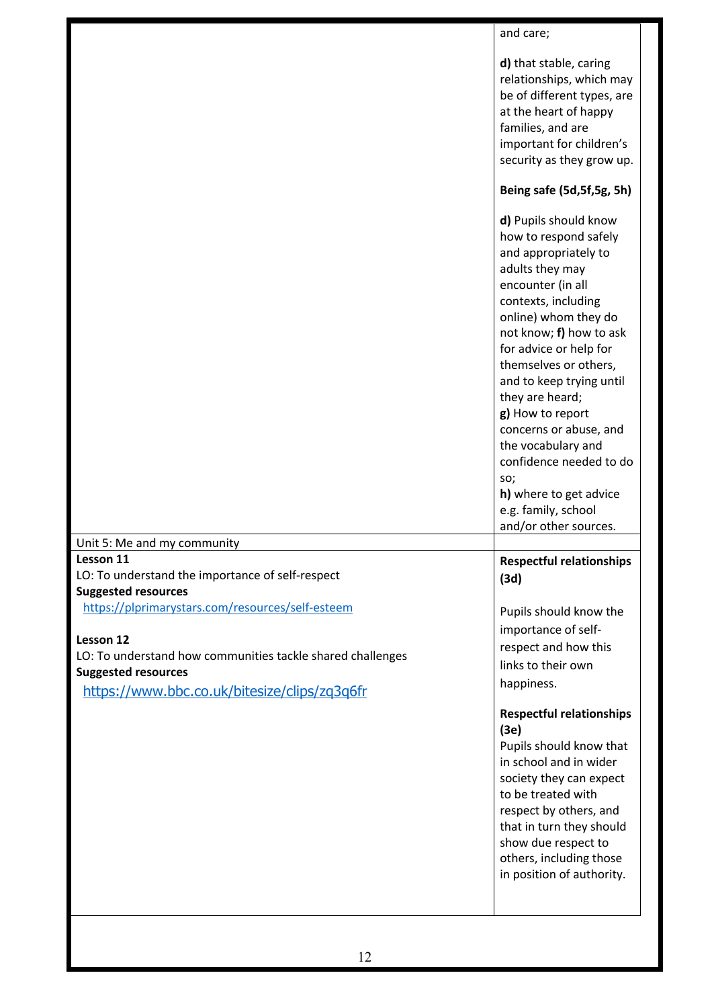|                                                                                                                                                                                                                                                                                                                                         | and care;                                                                                                                                                                                                                                                                                                                                                                                                                                                                  |
|-----------------------------------------------------------------------------------------------------------------------------------------------------------------------------------------------------------------------------------------------------------------------------------------------------------------------------------------|----------------------------------------------------------------------------------------------------------------------------------------------------------------------------------------------------------------------------------------------------------------------------------------------------------------------------------------------------------------------------------------------------------------------------------------------------------------------------|
|                                                                                                                                                                                                                                                                                                                                         | d) that stable, caring<br>relationships, which may<br>be of different types, are<br>at the heart of happy<br>families, and are<br>important for children's<br>security as they grow up.                                                                                                                                                                                                                                                                                    |
|                                                                                                                                                                                                                                                                                                                                         | Being safe (5d, 5f, 5g, 5h)                                                                                                                                                                                                                                                                                                                                                                                                                                                |
|                                                                                                                                                                                                                                                                                                                                         | d) Pupils should know<br>how to respond safely<br>and appropriately to<br>adults they may<br>encounter (in all<br>contexts, including<br>online) whom they do<br>not know; f) how to ask<br>for advice or help for<br>themselves or others,<br>and to keep trying until<br>they are heard;<br>g) How to report<br>concerns or abuse, and<br>the vocabulary and<br>confidence needed to do<br>SO;<br>h) where to get advice<br>e.g. family, school<br>and/or other sources. |
|                                                                                                                                                                                                                                                                                                                                         |                                                                                                                                                                                                                                                                                                                                                                                                                                                                            |
| Unit 5: Me and my community<br>Lesson 11<br>LO: To understand the importance of self-respect<br><b>Suggested resources</b><br>https://plprimarystars.com/resources/self-esteem<br>Lesson 12<br>LO: To understand how communities tackle shared challenges<br><b>Suggested resources</b><br>https://www.bbc.co.uk/bitesize/clips/zq3q6fr | <b>Respectful relationships</b><br>(3d)<br>Pupils should know the<br>importance of self-<br>respect and how this<br>links to their own<br>happiness.<br><b>Respectful relationships</b><br>(3e)<br>Pupils should know that<br>in school and in wider<br>society they can expect<br>to be treated with<br>respect by others, and<br>that in turn they should<br>show due respect to<br>others, including those<br>in position of authority.                                 |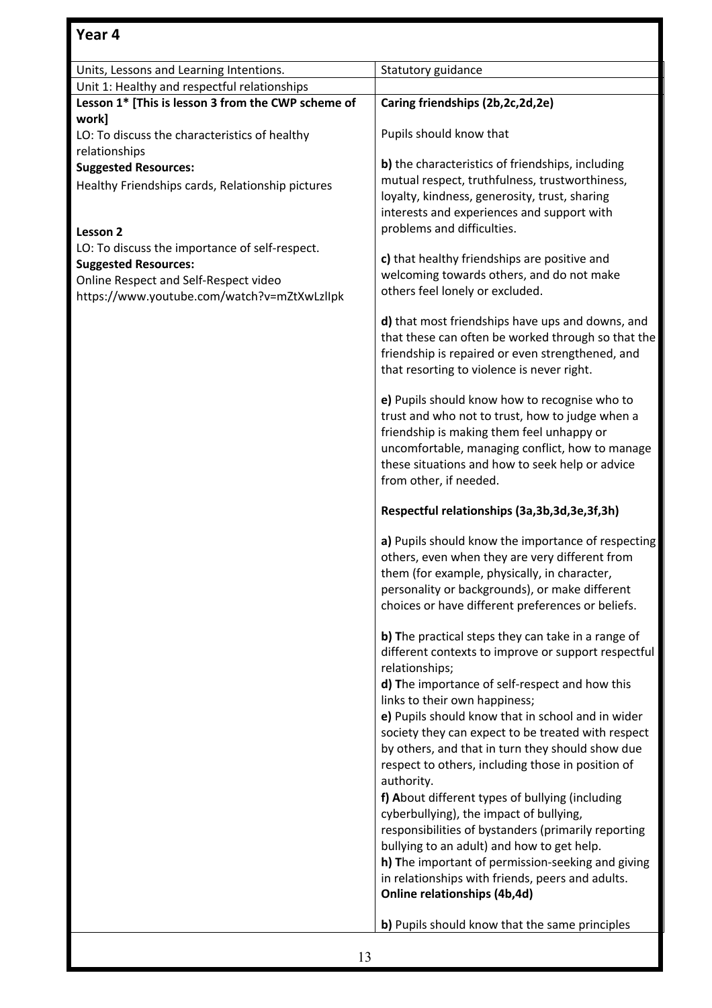| Units, Lessons and Learning Intentions.            | Statutory guidance                                                                                     |
|----------------------------------------------------|--------------------------------------------------------------------------------------------------------|
| Unit 1: Healthy and respectful relationships       |                                                                                                        |
| Lesson 1* [This is lesson 3 from the CWP scheme of | Caring friendships (2b,2c,2d,2e)                                                                       |
| work]                                              |                                                                                                        |
| LO: To discuss the characteristics of healthy      | Pupils should know that                                                                                |
| relationships                                      | b) the characteristics of friendships, including                                                       |
| <b>Suggested Resources:</b>                        | mutual respect, truthfulness, trustworthiness,                                                         |
| Healthy Friendships cards, Relationship pictures   | loyalty, kindness, generosity, trust, sharing                                                          |
|                                                    | interests and experiences and support with                                                             |
| Lesson <sub>2</sub>                                | problems and difficulties.                                                                             |
| LO: To discuss the importance of self-respect.     |                                                                                                        |
| <b>Suggested Resources:</b>                        | c) that healthy friendships are positive and                                                           |
| Online Respect and Self-Respect video              | welcoming towards others, and do not make                                                              |
| https://www.youtube.com/watch?v=mZtXwLzllpk        | others feel lonely or excluded.                                                                        |
|                                                    |                                                                                                        |
|                                                    | d) that most friendships have ups and downs, and<br>that these can often be worked through so that the |
|                                                    | friendship is repaired or even strengthened, and                                                       |
|                                                    | that resorting to violence is never right.                                                             |
|                                                    |                                                                                                        |
|                                                    | e) Pupils should know how to recognise who to                                                          |
|                                                    | trust and who not to trust, how to judge when a                                                        |
|                                                    | friendship is making them feel unhappy or                                                              |
|                                                    | uncomfortable, managing conflict, how to manage                                                        |
|                                                    | these situations and how to seek help or advice                                                        |
|                                                    | from other, if needed.                                                                                 |
|                                                    | Respectful relationships (3a,3b,3d,3e,3f,3h)                                                           |
|                                                    |                                                                                                        |
|                                                    | a) Pupils should know the importance of respecting                                                     |
|                                                    | others, even when they are very different from<br>them (for example, physically, in character,         |
|                                                    | personality or backgrounds), or make different                                                         |
|                                                    | choices or have different preferences or beliefs.                                                      |
|                                                    |                                                                                                        |
|                                                    | b) The practical steps they can take in a range of                                                     |
|                                                    | different contexts to improve or support respectful                                                    |
|                                                    | relationships;                                                                                         |
|                                                    | d) The importance of self-respect and how this                                                         |
|                                                    | links to their own happiness;                                                                          |
|                                                    | e) Pupils should know that in school and in wider                                                      |
|                                                    | society they can expect to be treated with respect                                                     |
|                                                    | by others, and that in turn they should show due<br>respect to others, including those in position of  |
|                                                    | authority.                                                                                             |
|                                                    | f) About different types of bullying (including                                                        |
|                                                    | cyberbullying), the impact of bullying,                                                                |
|                                                    | responsibilities of bystanders (primarily reporting                                                    |
|                                                    | bullying to an adult) and how to get help.                                                             |
|                                                    | h) The important of permission-seeking and giving                                                      |
|                                                    | in relationships with friends, peers and adults.                                                       |
|                                                    | Online relationships (4b,4d)                                                                           |
|                                                    |                                                                                                        |
|                                                    | b) Pupils should know that the same principles                                                         |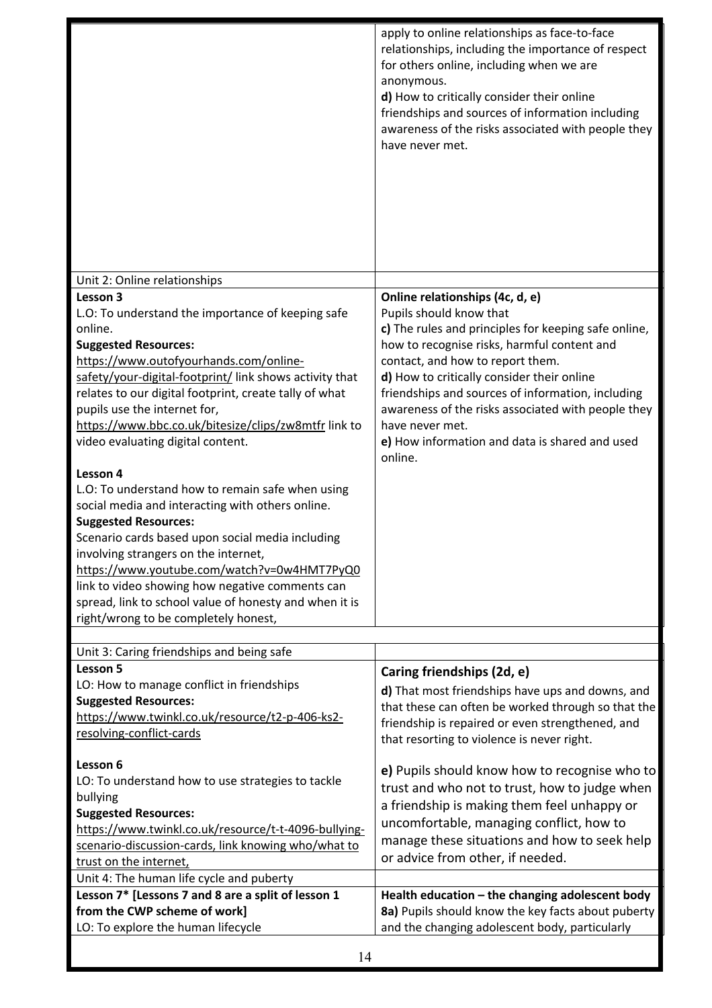|                                                                                                                                                                                                                                                                                                                                                                                                                                                                                                                                                                                                                                                                                                                                                                                                    | apply to online relationships as face-to-face<br>relationships, including the importance of respect<br>for others online, including when we are<br>anonymous.<br>d) How to critically consider their online<br>friendships and sources of information including<br>awareness of the risks associated with people they<br>have never met.                                                                    |
|----------------------------------------------------------------------------------------------------------------------------------------------------------------------------------------------------------------------------------------------------------------------------------------------------------------------------------------------------------------------------------------------------------------------------------------------------------------------------------------------------------------------------------------------------------------------------------------------------------------------------------------------------------------------------------------------------------------------------------------------------------------------------------------------------|-------------------------------------------------------------------------------------------------------------------------------------------------------------------------------------------------------------------------------------------------------------------------------------------------------------------------------------------------------------------------------------------------------------|
| Unit 2: Online relationships                                                                                                                                                                                                                                                                                                                                                                                                                                                                                                                                                                                                                                                                                                                                                                       |                                                                                                                                                                                                                                                                                                                                                                                                             |
| Lesson 3                                                                                                                                                                                                                                                                                                                                                                                                                                                                                                                                                                                                                                                                                                                                                                                           | Online relationships (4c, d, e)                                                                                                                                                                                                                                                                                                                                                                             |
| L.O: To understand the importance of keeping safe<br>online.<br><b>Suggested Resources:</b><br>https://www.outofyourhands.com/online-<br>safety/your-digital-footprint/ link shows activity that<br>relates to our digital footprint, create tally of what<br>pupils use the internet for,<br>https://www.bbc.co.uk/bitesize/clips/zw8mtfr link to<br>video evaluating digital content.<br>Lesson 4<br>L.O: To understand how to remain safe when using<br>social media and interacting with others online.<br><b>Suggested Resources:</b><br>Scenario cards based upon social media including<br>involving strangers on the internet,<br>https://www.youtube.com/watch?v=0w4HMT7PyQ0<br>link to video showing how negative comments can<br>spread, link to school value of honesty and when it is | Pupils should know that<br>c) The rules and principles for keeping safe online,<br>how to recognise risks, harmful content and<br>contact, and how to report them.<br>d) How to critically consider their online<br>friendships and sources of information, including<br>awareness of the risks associated with people they<br>have never met.<br>e) How information and data is shared and used<br>online. |
| right/wrong to be completely honest,                                                                                                                                                                                                                                                                                                                                                                                                                                                                                                                                                                                                                                                                                                                                                               |                                                                                                                                                                                                                                                                                                                                                                                                             |
| Unit 3: Caring friendships and being safe                                                                                                                                                                                                                                                                                                                                                                                                                                                                                                                                                                                                                                                                                                                                                          |                                                                                                                                                                                                                                                                                                                                                                                                             |
| Lesson 5<br>LO: How to manage conflict in friendships<br><b>Suggested Resources:</b><br>https://www.twinkl.co.uk/resource/t2-p-406-ks2-<br>resolving-conflict-cards                                                                                                                                                                                                                                                                                                                                                                                                                                                                                                                                                                                                                                | Caring friendships (2d, e)<br>d) That most friendships have ups and downs, and<br>that these can often be worked through so that the<br>friendship is repaired or even strengthened, and<br>that resorting to violence is never right.                                                                                                                                                                      |
| Lesson 6<br>LO: To understand how to use strategies to tackle<br>bullying<br><b>Suggested Resources:</b><br>https://www.twinkl.co.uk/resource/t-t-4096-bullying-<br>scenario-discussion-cards, link knowing who/what to<br>trust on the internet,<br>Unit 4: The human life cycle and puberty                                                                                                                                                                                                                                                                                                                                                                                                                                                                                                      | e) Pupils should know how to recognise who to<br>trust and who not to trust, how to judge when<br>a friendship is making them feel unhappy or<br>uncomfortable, managing conflict, how to<br>manage these situations and how to seek help<br>or advice from other, if needed.                                                                                                                               |
| Lesson 7* [Lessons 7 and 8 are a split of lesson 1<br>from the CWP scheme of work]                                                                                                                                                                                                                                                                                                                                                                                                                                                                                                                                                                                                                                                                                                                 | Health education - the changing adolescent body<br>8a) Pupils should know the key facts about puberty                                                                                                                                                                                                                                                                                                       |
| LO: To explore the human lifecycle                                                                                                                                                                                                                                                                                                                                                                                                                                                                                                                                                                                                                                                                                                                                                                 | and the changing adolescent body, particularly                                                                                                                                                                                                                                                                                                                                                              |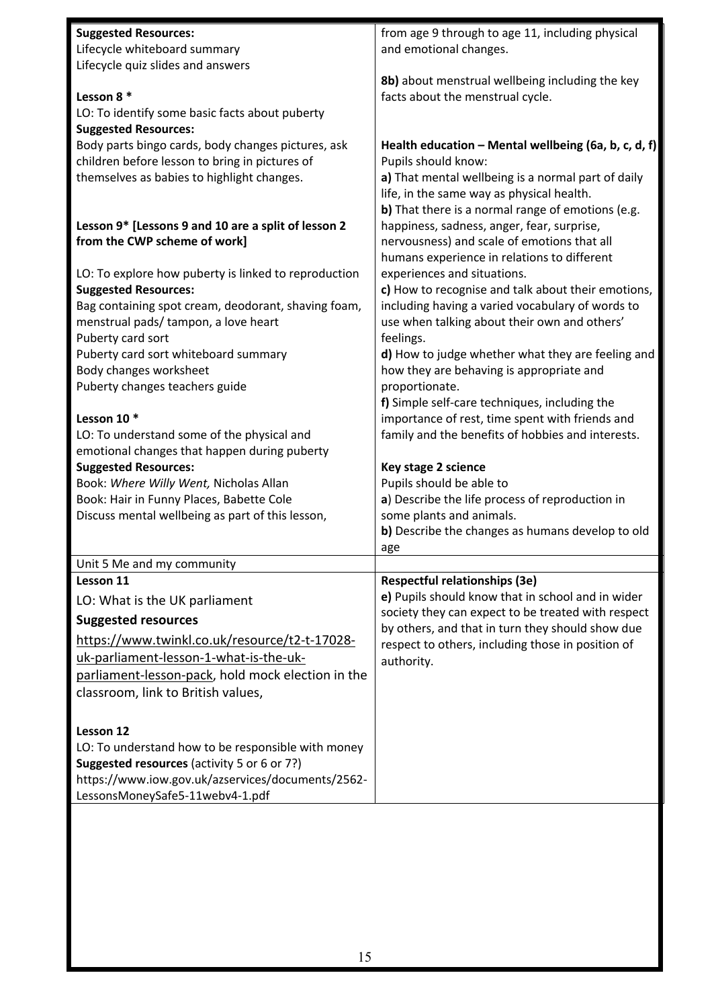| <b>Suggested Resources:</b>                                                                          | from age 9 through to age 11, including physical                            |
|------------------------------------------------------------------------------------------------------|-----------------------------------------------------------------------------|
| Lifecycle whiteboard summary                                                                         | and emotional changes.                                                      |
| Lifecycle quiz slides and answers                                                                    |                                                                             |
|                                                                                                      | 8b) about menstrual wellbeing including the key                             |
| Lesson 8 *                                                                                           | facts about the menstrual cycle.                                            |
| LO: To identify some basic facts about puberty                                                       |                                                                             |
| <b>Suggested Resources:</b>                                                                          |                                                                             |
| Body parts bingo cards, body changes pictures, ask<br>children before lesson to bring in pictures of | Health education - Mental wellbeing (6a, b, c, d, f)<br>Pupils should know: |
| themselves as babies to highlight changes.                                                           | a) That mental wellbeing is a normal part of daily                          |
|                                                                                                      | life, in the same way as physical health.                                   |
|                                                                                                      | b) That there is a normal range of emotions (e.g.                           |
| Lesson 9* [Lessons 9 and 10 are a split of lesson 2                                                  | happiness, sadness, anger, fear, surprise,                                  |
| from the CWP scheme of work]                                                                         | nervousness) and scale of emotions that all                                 |
|                                                                                                      | humans experience in relations to different                                 |
| LO: To explore how puberty is linked to reproduction                                                 | experiences and situations.                                                 |
| <b>Suggested Resources:</b>                                                                          | c) How to recognise and talk about their emotions,                          |
| Bag containing spot cream, deodorant, shaving foam,                                                  | including having a varied vocabulary of words to                            |
| menstrual pads/ tampon, a love heart                                                                 | use when talking about their own and others'                                |
| Puberty card sort                                                                                    | feelings.                                                                   |
| Puberty card sort whiteboard summary                                                                 | d) How to judge whether what they are feeling and                           |
| Body changes worksheet                                                                               | how they are behaving is appropriate and                                    |
| Puberty changes teachers guide                                                                       | proportionate.                                                              |
|                                                                                                      | f) Simple self-care techniques, including the                               |
| Lesson 10 *                                                                                          | importance of rest, time spent with friends and                             |
| LO: To understand some of the physical and                                                           | family and the benefits of hobbies and interests.                           |
| emotional changes that happen during puberty                                                         |                                                                             |
| <b>Suggested Resources:</b><br>Book: Where Willy Went, Nicholas Allan                                | Key stage 2 science<br>Pupils should be able to                             |
| Book: Hair in Funny Places, Babette Cole                                                             | a) Describe the life process of reproduction in                             |
| Discuss mental wellbeing as part of this lesson,                                                     | some plants and animals.                                                    |
|                                                                                                      | b) Describe the changes as humans develop to old                            |
|                                                                                                      | age                                                                         |
| Unit 5 Me and my community                                                                           |                                                                             |
| Lesson 11                                                                                            | <b>Respectful relationships (3e)</b>                                        |
| LO: What is the UK parliament                                                                        | e) Pupils should know that in school and in wider                           |
| <b>Suggested resources</b>                                                                           | society they can expect to be treated with respect                          |
| https://www.twinkl.co.uk/resource/t2-t-17028-                                                        | by others, and that in turn they should show due                            |
| uk-parliament-lesson-1-what-is-the-uk-                                                               | respect to others, including those in position of                           |
| parliament-lesson-pack, hold mock election in the                                                    | authority.                                                                  |
| classroom, link to British values,                                                                   |                                                                             |
|                                                                                                      |                                                                             |
|                                                                                                      |                                                                             |
| Lesson 12                                                                                            |                                                                             |
| LO: To understand how to be responsible with money<br>Suggested resources (activity 5 or 6 or 7?)    |                                                                             |
| https://www.iow.gov.uk/azservices/documents/2562-                                                    |                                                                             |
| LessonsMoneySafe5-11webv4-1.pdf                                                                      |                                                                             |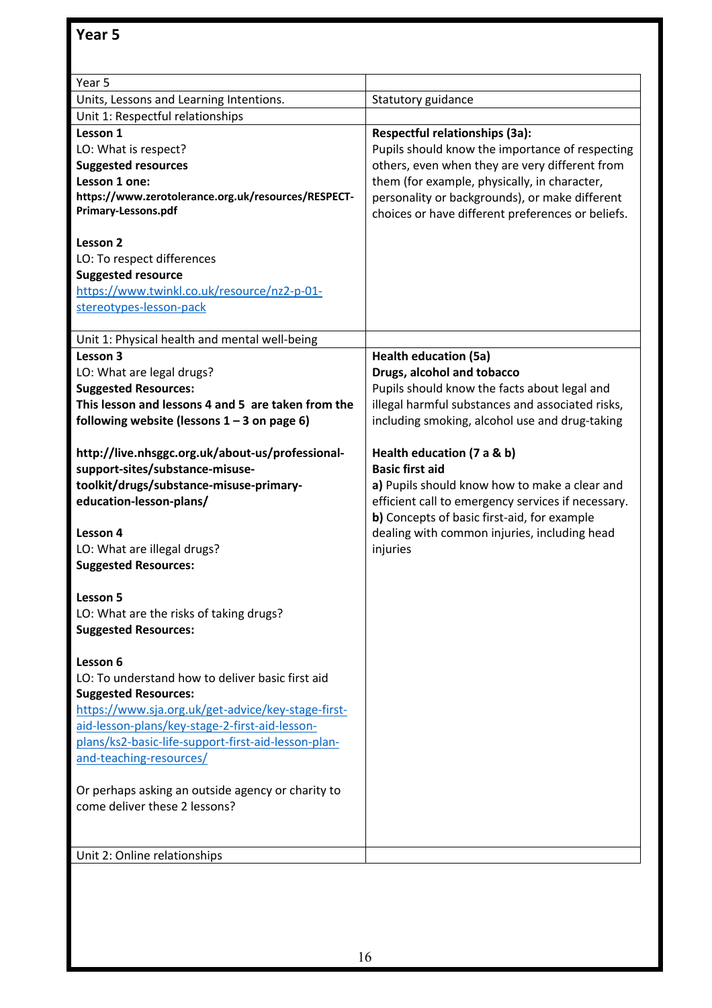| Year 5                                              |                                                    |
|-----------------------------------------------------|----------------------------------------------------|
| Units, Lessons and Learning Intentions.             | Statutory guidance                                 |
| Unit 1: Respectful relationships                    |                                                    |
| Lesson 1                                            | Respectful relationships (3a):                     |
| LO: What is respect?                                | Pupils should know the importance of respecting    |
| <b>Suggested resources</b>                          | others, even when they are very different from     |
| Lesson 1 one:                                       | them (for example, physically, in character,       |
| https://www.zerotolerance.org.uk/resources/RESPECT- | personality or backgrounds), or make different     |
| Primary-Lessons.pdf                                 | choices or have different preferences or beliefs.  |
| Lesson 2                                            |                                                    |
| LO: To respect differences                          |                                                    |
| <b>Suggested resource</b>                           |                                                    |
| https://www.twinkl.co.uk/resource/nz2-p-01-         |                                                    |
| stereotypes-lesson-pack                             |                                                    |
|                                                     |                                                    |
| Unit 1: Physical health and mental well-being       |                                                    |
| Lesson 3                                            | <b>Health education (5a)</b>                       |
| LO: What are legal drugs?                           | Drugs, alcohol and tobacco                         |
| <b>Suggested Resources:</b>                         | Pupils should know the facts about legal and       |
| This lesson and lessons 4 and 5 are taken from the  | illegal harmful substances and associated risks,   |
| following website (lessons $1 - 3$ on page 6)       | including smoking, alcohol use and drug-taking     |
|                                                     |                                                    |
| http://live.nhsggc.org.uk/about-us/professional-    | Health education (7 a & b)                         |
| support-sites/substance-misuse-                     | <b>Basic first aid</b>                             |
| toolkit/drugs/substance-misuse-primary-             | a) Pupils should know how to make a clear and      |
| education-lesson-plans/                             | efficient call to emergency services if necessary. |
|                                                     | b) Concepts of basic first-aid, for example        |
| Lesson 4                                            | dealing with common injuries, including head       |
| LO: What are illegal drugs?                         | injuries                                           |
| <b>Suggested Resources:</b>                         |                                                    |
|                                                     |                                                    |
| Lesson 5                                            |                                                    |
| LO: What are the risks of taking drugs?             |                                                    |
| <b>Suggested Resources:</b>                         |                                                    |
|                                                     |                                                    |
| Lesson 6                                            |                                                    |
| LO: To understand how to deliver basic first aid    |                                                    |
| <b>Suggested Resources:</b>                         |                                                    |
| https://www.sja.org.uk/get-advice/key-stage-first-  |                                                    |
| aid-lesson-plans/key-stage-2-first-aid-lesson-      |                                                    |
| plans/ks2-basic-life-support-first-aid-lesson-plan- |                                                    |
| and-teaching-resources/                             |                                                    |
|                                                     |                                                    |
|                                                     |                                                    |
|                                                     |                                                    |
| Or perhaps asking an outside agency or charity to   |                                                    |
| come deliver these 2 lessons?                       |                                                    |
|                                                     |                                                    |
| Unit 2: Online relationships                        |                                                    |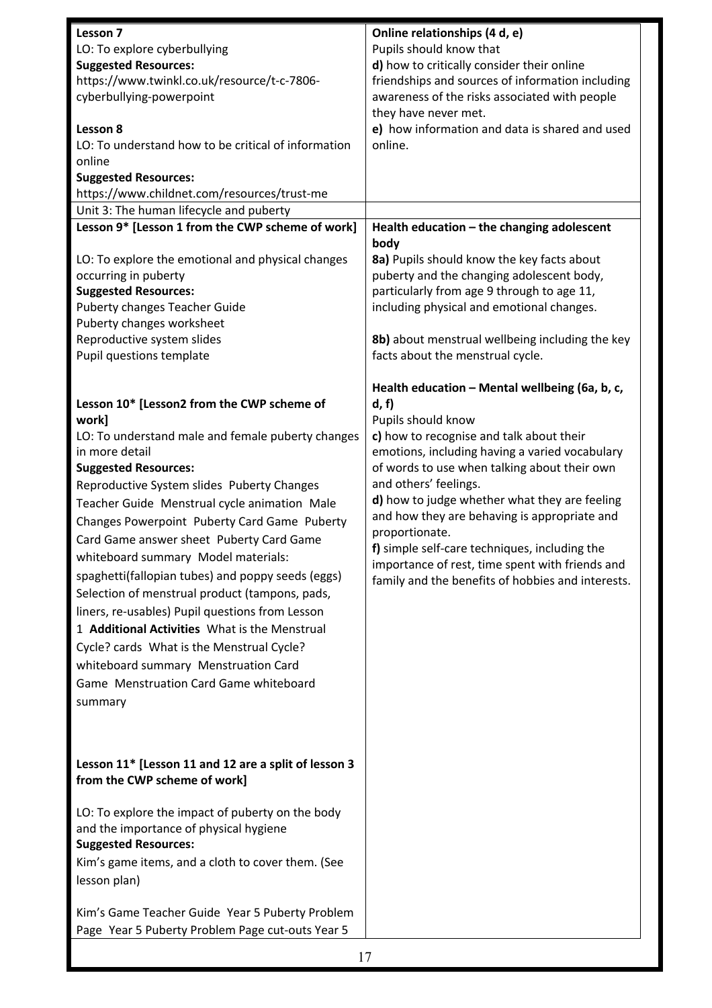| Lesson 7                                             | Online relationships (4 d, e)                     |
|------------------------------------------------------|---------------------------------------------------|
| LO: To explore cyberbullying                         | Pupils should know that                           |
| <b>Suggested Resources:</b>                          | d) how to critically consider their online        |
| https://www.twinkl.co.uk/resource/t-c-7806-          | friendships and sources of information including  |
| cyberbullying-powerpoint                             | awareness of the risks associated with people     |
|                                                      | they have never met.                              |
| Lesson 8                                             | e) how information and data is shared and used    |
| LO: To understand how to be critical of information  | online.                                           |
| online                                               |                                                   |
| <b>Suggested Resources:</b>                          |                                                   |
| https://www.childnet.com/resources/trust-me          |                                                   |
| Unit 3: The human lifecycle and puberty              |                                                   |
| Lesson 9* [Lesson 1 from the CWP scheme of work]     | Health education - the changing adolescent        |
|                                                      | body                                              |
| LO: To explore the emotional and physical changes    | 8a) Pupils should know the key facts about        |
| occurring in puberty                                 | puberty and the changing adolescent body,         |
| <b>Suggested Resources:</b>                          | particularly from age 9 through to age 11,        |
| <b>Puberty changes Teacher Guide</b>                 | including physical and emotional changes.         |
| Puberty changes worksheet                            |                                                   |
| Reproductive system slides                           | 8b) about menstrual wellbeing including the key   |
| Pupil questions template                             | facts about the menstrual cycle.                  |
|                                                      | Health education - Mental wellbeing (6a, b, c,    |
| Lesson 10* [Lesson2 from the CWP scheme of           | d, f                                              |
| work]                                                | Pupils should know                                |
| LO: To understand male and female puberty changes    | c) how to recognise and talk about their          |
| in more detail                                       | emotions, including having a varied vocabulary    |
| <b>Suggested Resources:</b>                          | of words to use when talking about their own      |
| Reproductive System slides Puberty Changes           | and others' feelings.                             |
|                                                      | d) how to judge whether what they are feeling     |
| Teacher Guide Menstrual cycle animation Male         | and how they are behaving is appropriate and      |
| Changes Powerpoint Puberty Card Game Puberty         | proportionate.                                    |
| Card Game answer sheet Puberty Card Game             | f) simple self-care techniques, including the     |
| whiteboard summary Model materials:                  | importance of rest, time spent with friends and   |
| spaghetti(fallopian tubes) and poppy seeds (eggs)    | family and the benefits of hobbies and interests. |
| Selection of menstrual product (tampons, pads,       |                                                   |
| liners, re-usables) Pupil questions from Lesson      |                                                   |
| 1 Additional Activities What is the Menstrual        |                                                   |
|                                                      |                                                   |
| Cycle? cards What is the Menstrual Cycle?            |                                                   |
| whiteboard summary Menstruation Card                 |                                                   |
| Game Menstruation Card Game whiteboard               |                                                   |
| summary                                              |                                                   |
|                                                      |                                                   |
|                                                      |                                                   |
| Lesson 11* [Lesson 11 and 12 are a split of lesson 3 |                                                   |
|                                                      |                                                   |
| from the CWP scheme of work]                         |                                                   |
| LO: To explore the impact of puberty on the body     |                                                   |
| and the importance of physical hygiene               |                                                   |
| <b>Suggested Resources:</b>                          |                                                   |
|                                                      |                                                   |
| Kim's game items, and a cloth to cover them. (See    |                                                   |
| lesson plan)                                         |                                                   |
|                                                      |                                                   |
| Kim's Game Teacher Guide Year 5 Puberty Problem      |                                                   |
| Page Year 5 Puberty Problem Page cut-outs Year 5     |                                                   |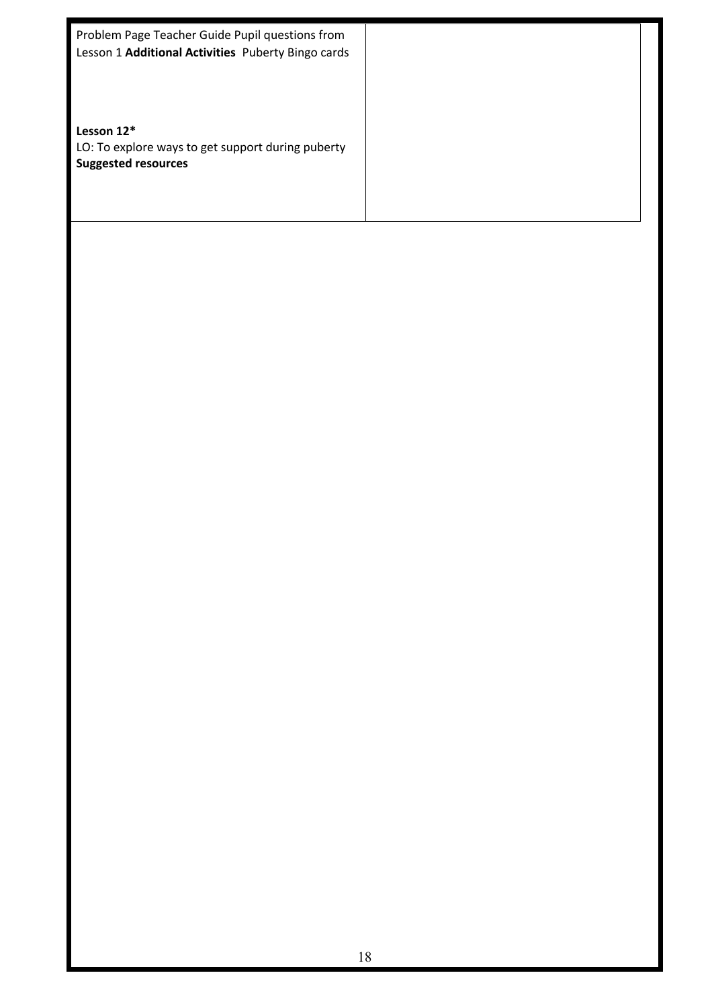| Problem Page Teacher Guide Pupil questions from    |  |
|----------------------------------------------------|--|
| Lesson 1 Additional Activities Puberty Bingo cards |  |
|                                                    |  |
|                                                    |  |
| Lesson $12*$                                       |  |
|                                                    |  |
| LO: To explore ways to get support during puberty  |  |
| <b>Suggested resources</b>                         |  |
|                                                    |  |
|                                                    |  |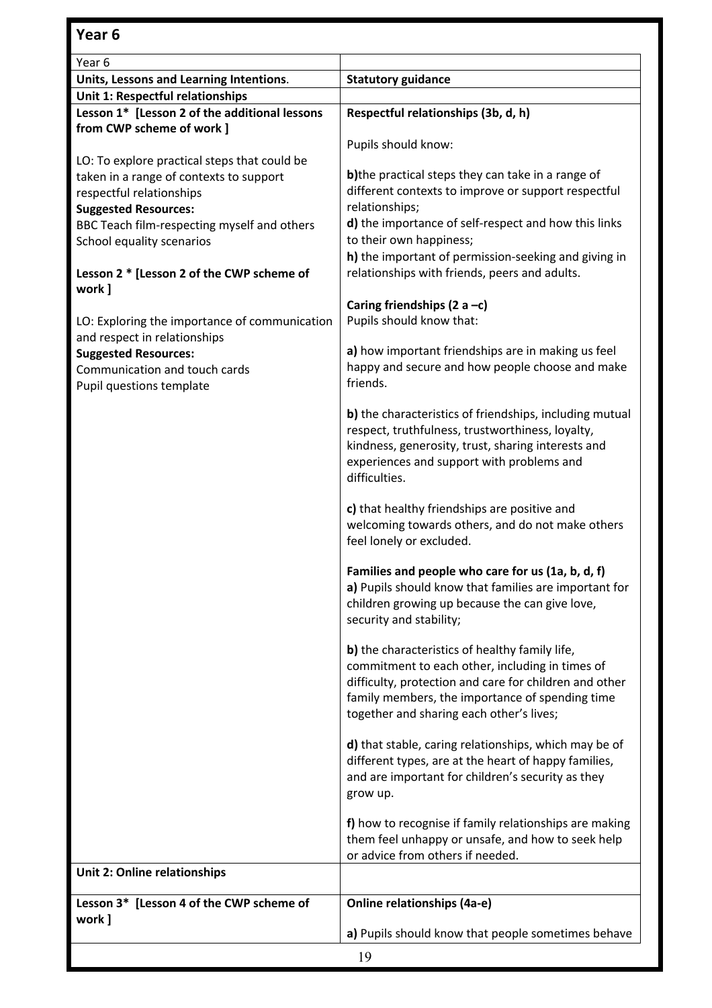| Year 6                                        |                                                         |
|-----------------------------------------------|---------------------------------------------------------|
| Units, Lessons and Learning Intentions.       | <b>Statutory guidance</b>                               |
| Unit 1: Respectful relationships              |                                                         |
| Lesson 1* [Lesson 2 of the additional lessons | Respectful relationships (3b, d, h)                     |
| from CWP scheme of work ]                     |                                                         |
|                                               | Pupils should know:                                     |
| LO: To explore practical steps that could be  |                                                         |
| taken in a range of contexts to support       | b) the practical steps they can take in a range of      |
| respectful relationships                      | different contexts to improve or support respectful     |
| <b>Suggested Resources:</b>                   | relationships;                                          |
| BBC Teach film-respecting myself and others   | d) the importance of self-respect and how this links    |
| School equality scenarios                     | to their own happiness;                                 |
|                                               | h) the important of permission-seeking and giving in    |
| Lesson 2 * [Lesson 2 of the CWP scheme of     | relationships with friends, peers and adults.           |
| work ]                                        |                                                         |
|                                               | Caring friendships (2 a $-c$ )                          |
| LO: Exploring the importance of communication | Pupils should know that:                                |
| and respect in relationships                  |                                                         |
| <b>Suggested Resources:</b>                   | a) how important friendships are in making us feel      |
| Communication and touch cards                 | happy and secure and how people choose and make         |
| Pupil questions template                      | friends.                                                |
|                                               |                                                         |
|                                               | b) the characteristics of friendships, including mutual |
|                                               | respect, truthfulness, trustworthiness, loyalty,        |
|                                               | kindness, generosity, trust, sharing interests and      |
|                                               | experiences and support with problems and               |
|                                               | difficulties.                                           |
|                                               |                                                         |
|                                               | c) that healthy friendships are positive and            |
|                                               | welcoming towards others, and do not make others        |
|                                               | feel lonely or excluded.                                |
|                                               |                                                         |
|                                               | Families and people who care for us (1a, b, d, f)       |
|                                               | a) Pupils should know that families are important for   |
|                                               | children growing up because the can give love,          |
|                                               | security and stability;                                 |
|                                               |                                                         |
|                                               | b) the characteristics of healthy family life,          |
|                                               | commitment to each other, including in times of         |
|                                               | difficulty, protection and care for children and other  |
|                                               | family members, the importance of spending time         |
|                                               | together and sharing each other's lives;                |
|                                               |                                                         |
|                                               | d) that stable, caring relationships, which may be of   |
|                                               | different types, are at the heart of happy families,    |
|                                               | and are important for children's security as they       |
|                                               | grow up.                                                |
|                                               | f) how to recognise if family relationships are making  |
|                                               | them feel unhappy or unsafe, and how to seek help       |
|                                               | or advice from others if needed.                        |
| Unit 2: Online relationships                  |                                                         |
|                                               |                                                         |
| Lesson 3* [Lesson 4 of the CWP scheme of      | <b>Online relationships (4a-e)</b>                      |
| work ]                                        |                                                         |
|                                               | a) Pupils should know that people sometimes behave      |
|                                               | 19                                                      |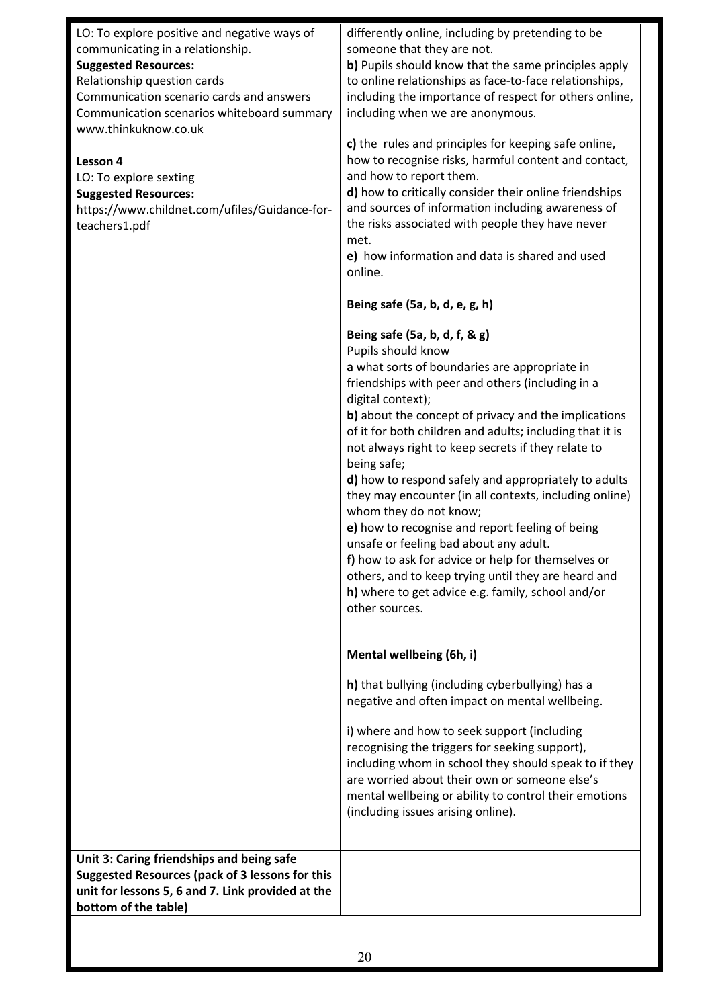| LO: To explore positive and negative ways of          | differently online, including by pretending to be                                                            |
|-------------------------------------------------------|--------------------------------------------------------------------------------------------------------------|
| communicating in a relationship.                      | someone that they are not.                                                                                   |
| <b>Suggested Resources:</b>                           | b) Pupils should know that the same principles apply                                                         |
| Relationship question cards                           | to online relationships as face-to-face relationships,                                                       |
| Communication scenario cards and answers              | including the importance of respect for others online,                                                       |
| Communication scenarios whiteboard summary            | including when we are anonymous.                                                                             |
| www.thinkuknow.co.uk                                  |                                                                                                              |
|                                                       | c) the rules and principles for keeping safe online,<br>how to recognise risks, harmful content and contact, |
| Lesson 4                                              | and how to report them.                                                                                      |
| LO: To explore sexting<br><b>Suggested Resources:</b> | d) how to critically consider their online friendships                                                       |
| https://www.childnet.com/ufiles/Guidance-for-         | and sources of information including awareness of                                                            |
| teachers1.pdf                                         | the risks associated with people they have never                                                             |
|                                                       | met.                                                                                                         |
|                                                       | e) how information and data is shared and used                                                               |
|                                                       | online.                                                                                                      |
|                                                       |                                                                                                              |
|                                                       | Being safe (5a, b, d, e, g, h)                                                                               |
|                                                       | Being safe (5a, b, d, f, & g)                                                                                |
|                                                       | Pupils should know                                                                                           |
|                                                       | a what sorts of boundaries are appropriate in<br>friendships with peer and others (including in a            |
|                                                       | digital context);                                                                                            |
|                                                       | b) about the concept of privacy and the implications                                                         |
|                                                       | of it for both children and adults; including that it is                                                     |
|                                                       | not always right to keep secrets if they relate to                                                           |
|                                                       | being safe;                                                                                                  |
|                                                       | d) how to respond safely and appropriately to adults                                                         |
|                                                       | they may encounter (in all contexts, including online)                                                       |
|                                                       | whom they do not know;                                                                                       |
|                                                       | e) how to recognise and report feeling of being                                                              |
|                                                       | unsafe or feeling bad about any adult.                                                                       |
|                                                       | f) how to ask for advice or help for themselves or                                                           |
|                                                       | others, and to keep trying until they are heard and                                                          |
|                                                       | h) where to get advice e.g. family, school and/or                                                            |
|                                                       | other sources.                                                                                               |
|                                                       |                                                                                                              |
|                                                       | Mental wellbeing (6h, i)                                                                                     |
|                                                       | h) that bullying (including cyberbullying) has a                                                             |
|                                                       | negative and often impact on mental wellbeing.                                                               |
|                                                       | i) where and how to seek support (including                                                                  |
|                                                       | recognising the triggers for seeking support),                                                               |
|                                                       | including whom in school they should speak to if they                                                        |
|                                                       | are worried about their own or someone else's                                                                |
|                                                       | mental wellbeing or ability to control their emotions                                                        |
|                                                       | (including issues arising online).                                                                           |
|                                                       |                                                                                                              |
| Unit 3: Caring friendships and being safe             |                                                                                                              |
| Suggested Resources (pack of 3 lessons for this       |                                                                                                              |
| unit for lessons 5, 6 and 7. Link provided at the     |                                                                                                              |
| bottom of the table)                                  |                                                                                                              |
|                                                       |                                                                                                              |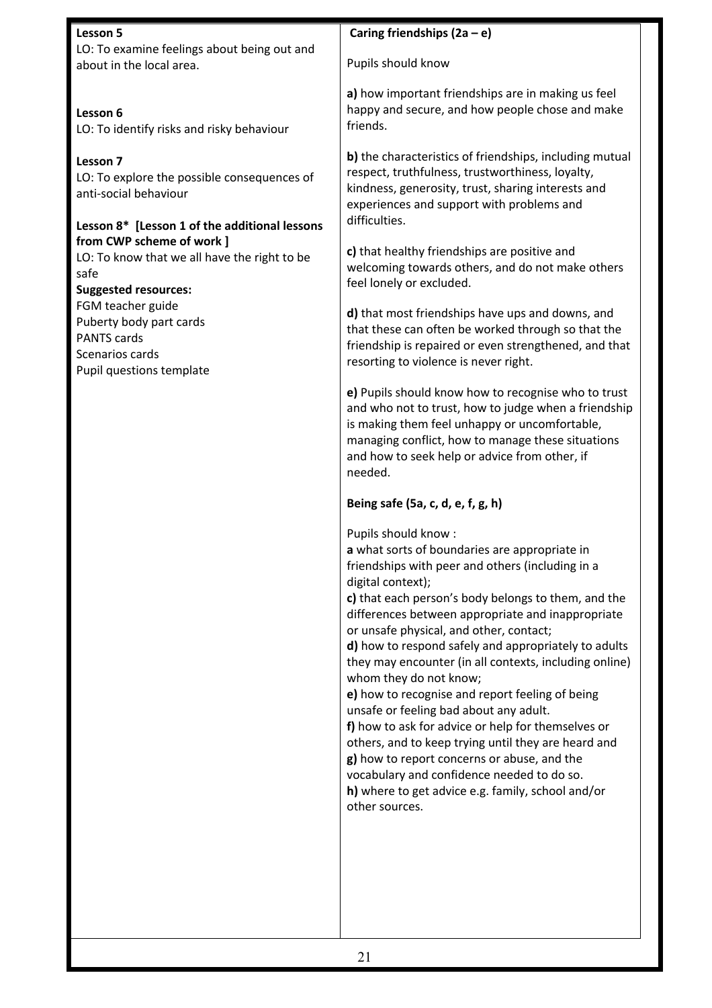#### **Lesson 5** LO: To examine feelings about being out and about in the local area.

**Lesson 6**  LO: To identify risks and risky behaviour

**Lesson 7**  LO: To explore the possible consequences of anti-social behaviour

#### **Lesson 8\* [Lesson 1 of the additional lessons from CWP scheme of work ]**

LO: To know that we all have the right to be safe

**Suggested resources:**

FGM teacher guide Puberty body part cards PANTS cards Scenarios cards Pupil questions template

### **Caring friendships (2a – e)**

Pupils should know

**a)** how important friendships are in making us feel happy and secure, and how people chose and make friends.

**b)** the characteristics of friendships, including mutual respect, truthfulness, trustworthiness, loyalty, kindness, generosity, trust, sharing interests and experiences and support with problems and difficulties.

**c)** that healthy friendships are positive and welcoming towards others, and do not make others feel lonely or excluded.

**d)** that most friendships have ups and downs, and that these can often be worked through so that the friendship is repaired or even strengthened, and that resorting to violence is never right.

**e)** Pupils should know how to recognise who to trust and who not to trust, how to judge when a friendship is making them feel unhappy or uncomfortable, managing conflict, how to manage these situations and how to seek help or advice from other, if needed.

#### **Being safe (5a, c, d, e, f, g, h)**

Pupils should know :

**a** what sorts of boundaries are appropriate in friendships with peer and others (including in a digital context);

**c)** that each person's body belongs to them, and the differences between appropriate and inappropriate or unsafe physical, and other, contact;

**d)** how to respond safely and appropriately to adults they may encounter (in all contexts, including online) whom they do not know;

**e)** how to recognise and report feeling of being unsafe or feeling bad about any adult.

**f)** how to ask for advice or help for themselves or others, and to keep trying until they are heard and **g)** how to report concerns or abuse, and the vocabulary and confidence needed to do so. **h)** where to get advice e.g. family, school and/or other sources.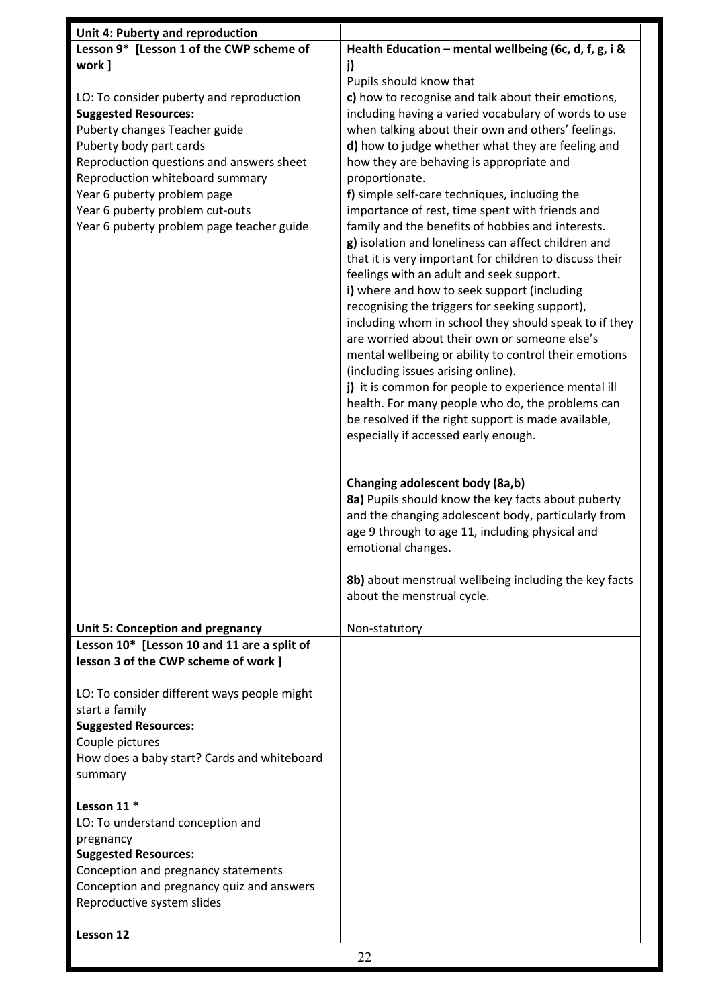| Unit 4: Puberty and reproduction                                             |                                                                                                         |
|------------------------------------------------------------------------------|---------------------------------------------------------------------------------------------------------|
| Lesson 9* [Lesson 1 of the CWP scheme of                                     | Health Education - mental wellbeing (6c, d, f, g, i &                                                   |
| work ]                                                                       | j)                                                                                                      |
|                                                                              | Pupils should know that                                                                                 |
| LO: To consider puberty and reproduction                                     | c) how to recognise and talk about their emotions,                                                      |
| <b>Suggested Resources:</b>                                                  | including having a varied vocabulary of words to use                                                    |
| Puberty changes Teacher guide                                                | when talking about their own and others' feelings.                                                      |
| Puberty body part cards                                                      | d) how to judge whether what they are feeling and                                                       |
| Reproduction questions and answers sheet                                     | how they are behaving is appropriate and                                                                |
| Reproduction whiteboard summary                                              | proportionate.                                                                                          |
| Year 6 puberty problem page                                                  | f) simple self-care techniques, including the                                                           |
| Year 6 puberty problem cut-outs<br>Year 6 puberty problem page teacher guide | importance of rest, time spent with friends and<br>family and the benefits of hobbies and interests.    |
|                                                                              | g) isolation and loneliness can affect children and                                                     |
|                                                                              | that it is very important for children to discuss their                                                 |
|                                                                              | feelings with an adult and seek support.                                                                |
|                                                                              | i) where and how to seek support (including                                                             |
|                                                                              | recognising the triggers for seeking support),                                                          |
|                                                                              | including whom in school they should speak to if they                                                   |
|                                                                              | are worried about their own or someone else's                                                           |
|                                                                              | mental wellbeing or ability to control their emotions                                                   |
|                                                                              | (including issues arising online).                                                                      |
|                                                                              | j) it is common for people to experience mental ill                                                     |
|                                                                              | health. For many people who do, the problems can<br>be resolved if the right support is made available, |
|                                                                              | especially if accessed early enough.                                                                    |
|                                                                              |                                                                                                         |
|                                                                              |                                                                                                         |
|                                                                              | Changing adolescent body (8a,b)                                                                         |
|                                                                              | 8a) Pupils should know the key facts about puberty                                                      |
|                                                                              | and the changing adolescent body, particularly from                                                     |
|                                                                              | age 9 through to age 11, including physical and                                                         |
|                                                                              | emotional changes.                                                                                      |
|                                                                              |                                                                                                         |
|                                                                              | 8b) about menstrual wellbeing including the key facts<br>about the menstrual cycle.                     |
|                                                                              |                                                                                                         |
| Unit 5: Conception and pregnancy                                             | Non-statutory                                                                                           |
| Lesson 10* [Lesson 10 and 11 are a split of                                  |                                                                                                         |
| lesson 3 of the CWP scheme of work ]                                         |                                                                                                         |
| LO: To consider different ways people might                                  |                                                                                                         |
| start a family                                                               |                                                                                                         |
| <b>Suggested Resources:</b>                                                  |                                                                                                         |
| Couple pictures                                                              |                                                                                                         |
| How does a baby start? Cards and whiteboard                                  |                                                                                                         |
| summary                                                                      |                                                                                                         |
|                                                                              |                                                                                                         |
| Lesson 11 <sup>*</sup>                                                       |                                                                                                         |
| LO: To understand conception and                                             |                                                                                                         |
| pregnancy<br><b>Suggested Resources:</b>                                     |                                                                                                         |
| Conception and pregnancy statements                                          |                                                                                                         |
| Conception and pregnancy quiz and answers                                    |                                                                                                         |
| Reproductive system slides                                                   |                                                                                                         |
|                                                                              |                                                                                                         |
| Lesson 12                                                                    |                                                                                                         |
|                                                                              | 22                                                                                                      |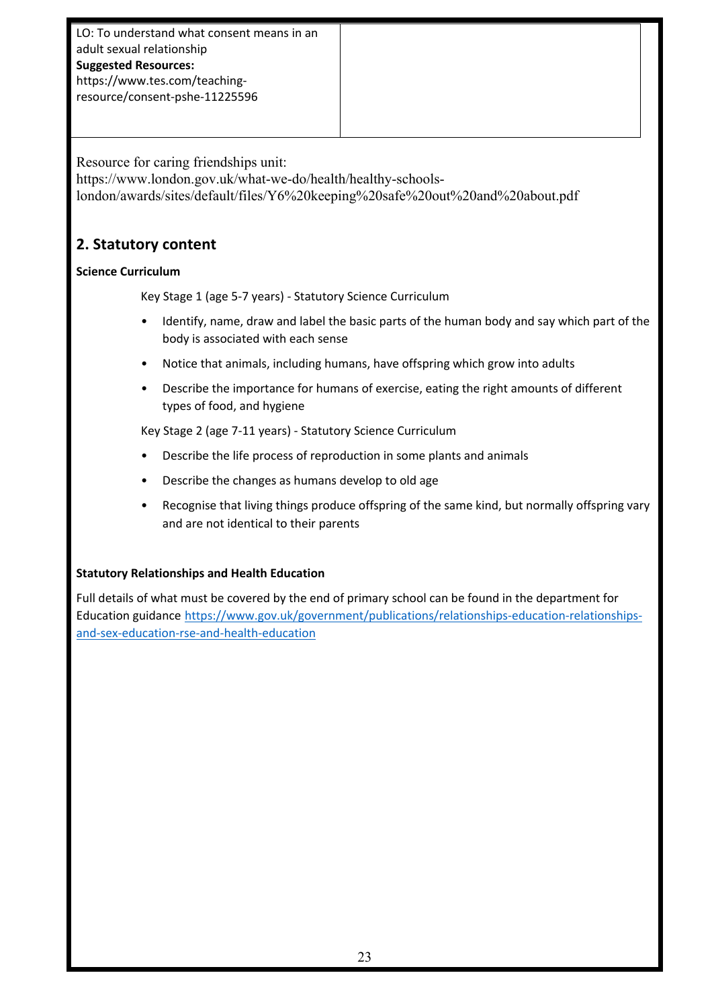LO: To understand what consent means in an adult sexual relationship **Suggested Resources:** https://www.tes.com/teachingresource/consent-pshe-11225596

Resource for caring friendships unit: https://www.london.gov.uk/what-we-do/health/healthy-schoolslondon/awards/sites/default/files/Y6%20keeping%20safe%20out%20and%20about.pdf

#### **2. Statutory content**

#### **Science Curriculum**

Key Stage 1 (age 5-7 years) - Statutory Science Curriculum

- Identify, name, draw and label the basic parts of the human body and say which part of the body is associated with each sense
- Notice that animals, including humans, have offspring which grow into adults
- Describe the importance for humans of exercise, eating the right amounts of different types of food, and hygiene

Key Stage 2 (age 7-11 years) - Statutory Science Curriculum

- Describe the life process of reproduction in some plants and animals
- Describe the changes as humans develop to old age
- Recognise that living things produce offspring of the same kind, but normally offspring vary and are not identical to their parents

#### **Statutory Relationships and Health Education**

Full details of what must be covered by the end of primary school can be found in the department for Education guidance https://www.gov.uk/government/publications/relationships-education-relationshipsand-sex-education-rse-and-health-education